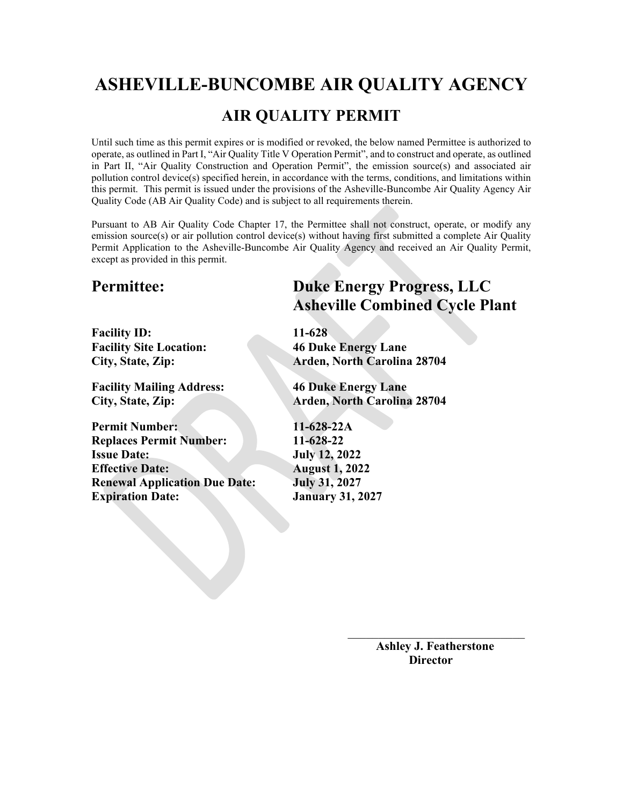# **ASHEVILLE-BUNCOMBE AIR QUALITY AGENCY**

# **AIR QUALITY PERMIT**

Until such time as this permit expires or is modified or revoked, the below named Permittee is authorized to operate, as outlined in Part I, "Air Quality Title V Operation Permit", and to construct and operate, as outlined in Part II, "Air Quality Construction and Operation Permit", the emission source(s) and associated air pollution control device(s) specified herein, in accordance with the terms, conditions, and limitations within this permit. This permit is issued under the provisions of the Asheville-Buncombe Air Quality Agency Air Quality Code (AB Air Quality Code) and is subject to all requirements therein.

Pursuant to AB Air Quality Code Chapter 17, the Permittee shall not construct, operate, or modify any emission source(s) or air pollution control device(s) without having first submitted a complete Air Quality Permit Application to the Asheville-Buncombe Air Quality Agency and received an Air Quality Permit, except as provided in this permit.

**Facility ID: 11-628 Facility Site Location: 46 Duke Energy Lane**

**Facility Mailing Address: 46 Duke Energy Lane**

**Permit Number: 11-628-22A Replaces Permit Number: 11-628-22 Issue Date: July 12, 2022 Effective Date: August 1, 2022 Renewal Application Due Date: July 31, 2027 Expiration Date: January 31, 2027** 

**Permittee: Duke Energy Progress, LLC Asheville Combined Cycle Plant**

**City, State, Zip: Arden, North Carolina 28704**

**City, State, Zip: Arden, North Carolina 28704**

 **Ashley J. Featherstone Director**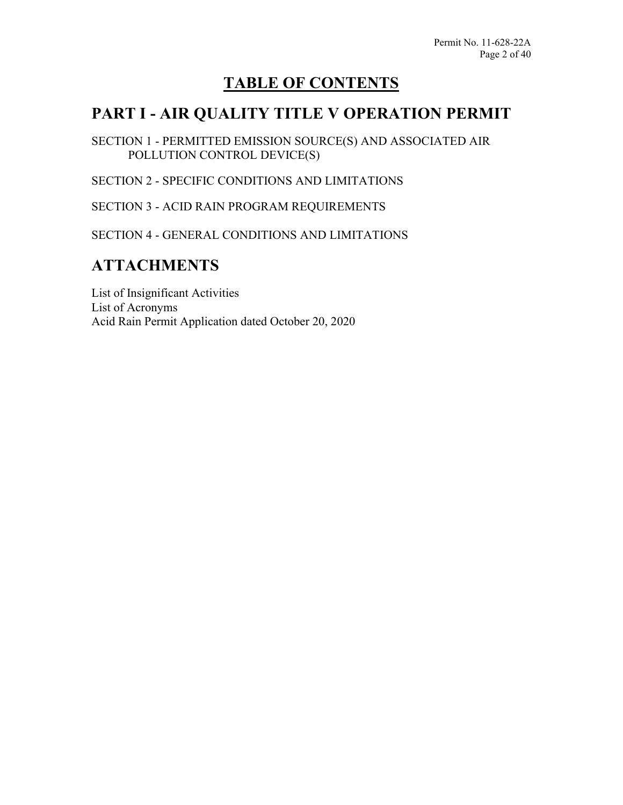# **TABLE OF CONTENTS**

# **PART I - AIR QUALITY TITLE V OPERATION PERMIT**

SECTION 1 - PERMITTED EMISSION SOURCE(S) AND ASSOCIATED AIR POLLUTION CONTROL DEVICE(S)

SECTION 2 - SPECIFIC CONDITIONS AND LIMITATIONS

SECTION 3 - ACID RAIN PROGRAM REQUIREMENTS

SECTION 4 - GENERAL CONDITIONS AND LIMITATIONS

# **ATTACHMENTS**

List of Insignificant Activities List of Acronyms Acid Rain Permit Application dated October 20, 2020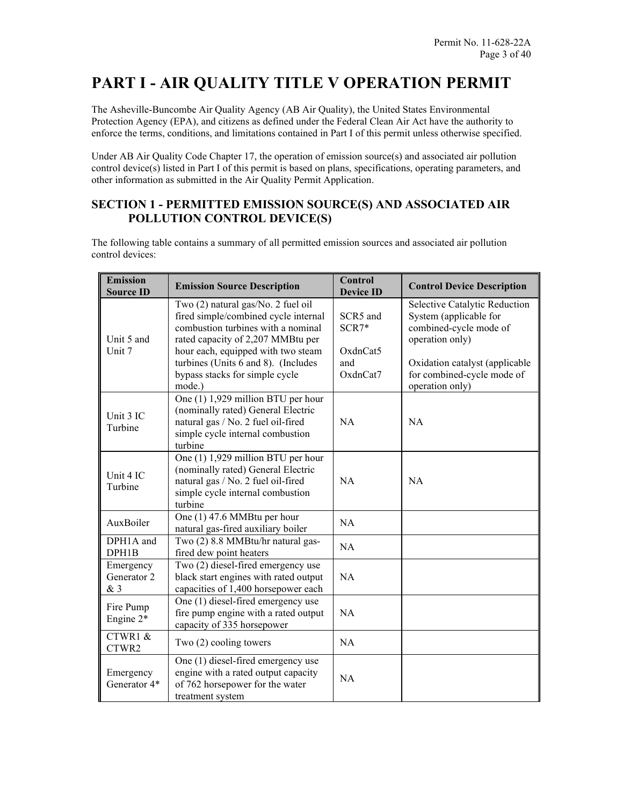# **PART I - AIR QUALITY TITLE V OPERATION PERMIT**

The Asheville-Buncombe Air Quality Agency (AB Air Quality), the United States Environmental Protection Agency (EPA), and citizens as defined under the Federal Clean Air Act have the authority to enforce the terms, conditions, and limitations contained in Part I of this permit unless otherwise specified.

Under AB Air Quality Code Chapter 17, the operation of emission source(s) and associated air pollution control device(s) listed in Part I of this permit is based on plans, specifications, operating parameters, and other information as submitted in the Air Quality Permit Application.

### **SECTION 1 - PERMITTED EMISSION SOURCE(S) AND ASSOCIATED AIR POLLUTION CONTROL DEVICE(S)**

The following table contains a summary of all permitted emission sources and associated air pollution control devices:

| <b>Emission</b><br><b>Source ID</b> | <b>Emission Source Description</b>                                                                                                                                                                                                                                             | Control<br><b>Device ID</b>                        | <b>Control Device Description</b>                                                                                                                                                       |
|-------------------------------------|--------------------------------------------------------------------------------------------------------------------------------------------------------------------------------------------------------------------------------------------------------------------------------|----------------------------------------------------|-----------------------------------------------------------------------------------------------------------------------------------------------------------------------------------------|
| Unit 5 and<br>Unit 7                | Two (2) natural gas/No. 2 fuel oil<br>fired simple/combined cycle internal<br>combustion turbines with a nominal<br>rated capacity of 2,207 MMBtu per<br>hour each, equipped with two steam<br>turbines (Units 6 and 8). (Includes<br>bypass stacks for simple cycle<br>mode.) | SCR5 and<br>$SCR7*$<br>OxdnCat5<br>and<br>OxdnCat7 | Selective Catalytic Reduction<br>System (applicable for<br>combined-cycle mode of<br>operation only)<br>Oxidation catalyst (applicable<br>for combined-cycle mode of<br>operation only) |
| Unit 3 IC<br>Turbine                | One (1) 1,929 million BTU per hour<br>(nominally rated) General Electric<br>natural gas / No. 2 fuel oil-fired<br>simple cycle internal combustion<br>turbine                                                                                                                  | <b>NA</b>                                          | NA                                                                                                                                                                                      |
| Unit 4 IC<br>Turbine                | One (1) 1,929 million BTU per hour<br>(nominally rated) General Electric<br>natural gas / No. 2 fuel oil-fired<br>simple cycle internal combustion<br>turbine                                                                                                                  | <b>NA</b>                                          | <b>NA</b>                                                                                                                                                                               |
| AuxBoiler                           | One (1) 47.6 MMBtu per hour<br>natural gas-fired auxiliary boiler                                                                                                                                                                                                              | NA                                                 |                                                                                                                                                                                         |
| DPH1A and<br>DPH1B                  | Two (2) 8.8 MMBtu/hr natural gas-<br>fired dew point heaters                                                                                                                                                                                                                   | <b>NA</b>                                          |                                                                                                                                                                                         |
| Emergency<br>Generator 2<br>& 3     | Two (2) diesel-fired emergency use<br>black start engines with rated output<br>capacities of 1,400 horsepower each                                                                                                                                                             | NA                                                 |                                                                                                                                                                                         |
| Fire Pump<br>Engine $2^*$           | One (1) diesel-fired emergency use<br>fire pump engine with a rated output<br>capacity of 335 horsepower                                                                                                                                                                       | <b>NA</b>                                          |                                                                                                                                                                                         |
| CTWR1 &<br>CTWR2                    | Two $(2)$ cooling towers                                                                                                                                                                                                                                                       | <b>NA</b>                                          |                                                                                                                                                                                         |
| Emergency<br>Generator 4*           | One (1) diesel-fired emergency use<br>engine with a rated output capacity<br>of 762 horsepower for the water<br>treatment system                                                                                                                                               | <b>NA</b>                                          |                                                                                                                                                                                         |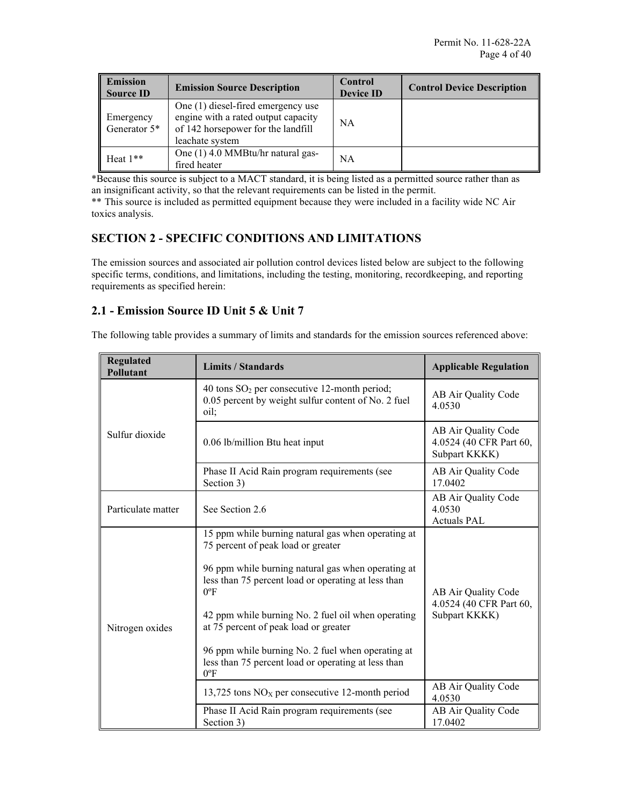| <b>Emission</b><br><b>Source ID</b> | <b>Emission Source Description</b>                                                                                                 | Control<br><b>Device ID</b> | <b>Control Device Description</b> |
|-------------------------------------|------------------------------------------------------------------------------------------------------------------------------------|-----------------------------|-----------------------------------|
| Emergency<br>Generator 5*           | One (1) diesel-fired emergency use<br>engine with a rated output capacity<br>of 142 horsepower for the landfill<br>leachate system | <b>NA</b>                   |                                   |
| Heat $1**$                          | One (1) 4.0 MMBtu/hr natural gas-<br>fired heater                                                                                  | ΝA                          |                                   |

\*Because this source is subject to a MACT standard, it is being listed as a permitted source rather than as an insignificant activity, so that the relevant requirements can be listed in the permit.

\*\* This source is included as permitted equipment because they were included in a facility wide NC Air toxics analysis.

### **SECTION 2 - SPECIFIC CONDITIONS AND LIMITATIONS**

The emission sources and associated air pollution control devices listed below are subject to the following specific terms, conditions, and limitations, including the testing, monitoring, recordkeeping, and reporting requirements as specified herein:

### **2.1 - Emission Source ID Unit 5 & Unit 7**

The following table provides a summary of limits and standards for the emission sources referenced above:

| <b>Regulated</b><br>Pollutant | <b>Limits / Standards</b>                                                                                                                                                                                                                                                                                                                                                                                                                          | <b>Applicable Regulation</b>                                    |
|-------------------------------|----------------------------------------------------------------------------------------------------------------------------------------------------------------------------------------------------------------------------------------------------------------------------------------------------------------------------------------------------------------------------------------------------------------------------------------------------|-----------------------------------------------------------------|
|                               | 40 tons $SO_2$ per consecutive 12-month period;<br>0.05 percent by weight sulfur content of No. 2 fuel<br>oil;                                                                                                                                                                                                                                                                                                                                     | AB Air Quality Code<br>4.0530                                   |
| Sulfur dioxide                | 0.06 lb/million Btu heat input                                                                                                                                                                                                                                                                                                                                                                                                                     | AB Air Quality Code<br>4.0524 (40 CFR Part 60,<br>Subpart KKKK) |
|                               | Phase II Acid Rain program requirements (see<br>Section 3)                                                                                                                                                                                                                                                                                                                                                                                         | AB Air Quality Code<br>17.0402                                  |
| Particulate matter            | See Section 2.6                                                                                                                                                                                                                                                                                                                                                                                                                                    | AB Air Quality Code<br>4.0530<br><b>Actuals PAL</b>             |
| Nitrogen oxides               | 15 ppm while burning natural gas when operating at<br>75 percent of peak load or greater<br>96 ppm while burning natural gas when operating at<br>less than 75 percent load or operating at less than<br>$0^{\circ}$ F<br>42 ppm while burning No. 2 fuel oil when operating<br>at 75 percent of peak load or greater<br>96 ppm while burning No. 2 fuel when operating at<br>less than 75 percent load or operating at less than<br>$0^{\circ}$ F | AB Air Quality Code<br>4.0524 (40 CFR Part 60,<br>Subpart KKKK) |
|                               | 13,725 tons $NOX$ per consecutive 12-month period                                                                                                                                                                                                                                                                                                                                                                                                  | AB Air Quality Code<br>4.0530                                   |
|                               | Phase II Acid Rain program requirements (see<br>Section 3)                                                                                                                                                                                                                                                                                                                                                                                         | AB Air Quality Code<br>17.0402                                  |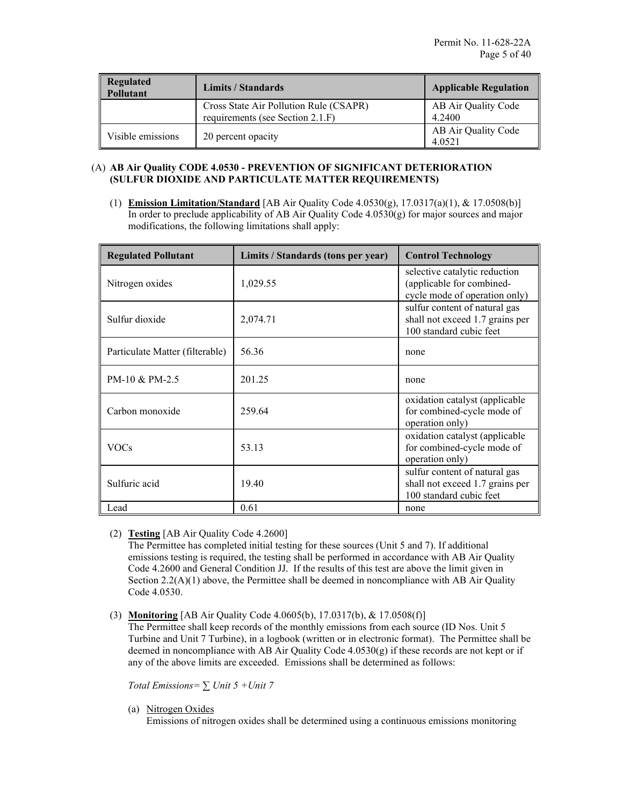| <b>Regulated</b><br>Pollutant | Limits / Standards                                                         |                               |
|-------------------------------|----------------------------------------------------------------------------|-------------------------------|
|                               | Cross State Air Pollution Rule (CSAPR)<br>requirements (see Section 2.1.F) | AB Air Quality Code<br>4.2400 |
| Visible emissions             | 20 percent opacity                                                         | AB Air Quality Code<br>4.0521 |

### (A) **AB Air Quality CODE 4.0530 - PREVENTION OF SIGNIFICANT DETERIORATION (SULFUR DIOXIDE AND PARTICULATE MATTER REQUIREMENTS)**

(1) **Emission Limitation/Standard** [AB Air Quality Code 4.0530(g), 17.0317(a)(1), & 17.0508(b)] In order to preclude applicability of AB Air Quality Code  $4.0530(g)$  for major sources and major modifications, the following limitations shall apply:

| <b>Regulated Pollutant</b>      | Limits / Standards (tons per year) | <b>Control Technology</b>                                                                   |
|---------------------------------|------------------------------------|---------------------------------------------------------------------------------------------|
| Nitrogen oxides                 | 1,029.55                           | selective catalytic reduction<br>(applicable for combined-<br>cycle mode of operation only) |
| Sulfur dioxide                  | 2,074.71                           | sulfur content of natural gas<br>shall not exceed 1.7 grains per<br>100 standard cubic feet |
| Particulate Matter (filterable) | 56.36                              | none                                                                                        |
| PM-10 & PM-2.5                  | 201.25                             | none                                                                                        |
| Carbon monoxide                 | 259.64                             | oxidation catalyst (applicable<br>for combined-cycle mode of<br>operation only)             |
| VOCs                            | 53.13                              | oxidation catalyst (applicable<br>for combined-cycle mode of<br>operation only)             |
| Sulfuric acid                   | 19.40                              | sulfur content of natural gas<br>shall not exceed 1.7 grains per<br>100 standard cubic feet |
| Lead                            | 0.61                               | none                                                                                        |

### (2) **Testing** [AB Air Quality Code 4.2600]

The Permittee has completed initial testing for these sources (Unit 5 and 7). If additional emissions testing is required, the testing shall be performed in accordance with AB Air Quality Code 4.2600 and General Condition JJ. If the results of this test are above the limit given in Section  $2.2(A)(1)$  above, the Permittee shall be deemed in noncompliance with AB Air Quality Code 4.0530.

### (3) **Monitoring** [AB Air Quality Code 4.0605(b), 17.0317(b), & 17.0508(f)]

The Permittee shall keep records of the monthly emissions from each source (ID Nos. Unit 5 Turbine and Unit 7 Turbine), in a logbook (written or in electronic format). The Permittee shall be deemed in noncompliance with AB Air Quality Code 4.0530(g) if these records are not kept or if any of the above limits are exceeded. Emissions shall be determined as follows:

*Total Emissions= ∑ Unit 5 +Unit 7*

(a) Nitrogen Oxides

Emissions of nitrogen oxides shall be determined using a continuous emissions monitoring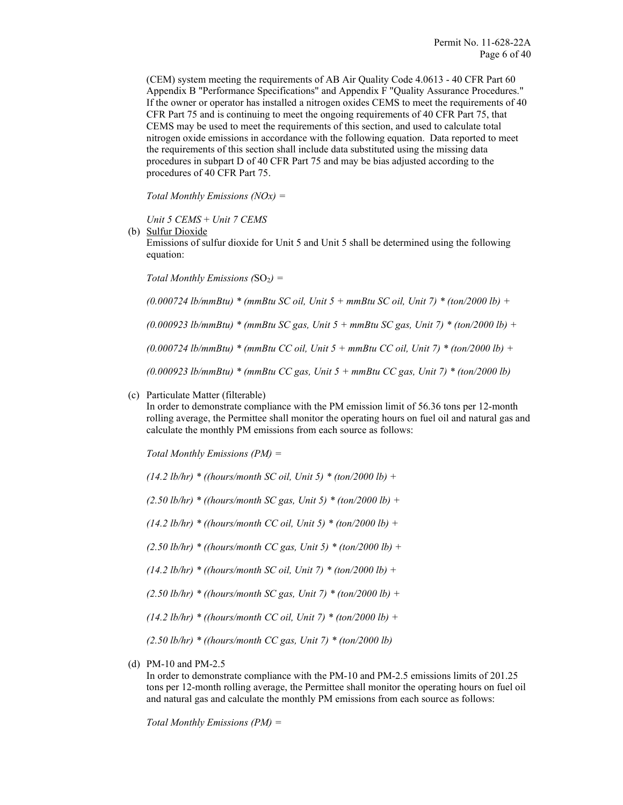(CEM) system meeting the requirements of AB Air Quality Code 4.0613 - 40 CFR Part 60 Appendix B "Performance Specifications" and Appendix F "Quality Assurance Procedures." If the owner or operator has installed a nitrogen oxides CEMS to meet the requirements of 40 CFR Part 75 and is continuing to meet the ongoing requirements of 40 CFR Part 75, that CEMS may be used to meet the requirements of this section, and used to calculate total nitrogen oxide emissions in accordance with the following equation. Data reported to meet the requirements of this section shall include data substituted using the missing data procedures in subpart D of 40 CFR Part 75 and may be bias adjusted according to the procedures of 40 CFR Part 75.

*Total Monthly Emissions (NOx) =* 

*Unit 5 CEMS* + *Unit 7 CEMS*

(b) Sulfur Dioxide

Emissions of sulfur dioxide for Unit 5 and Unit 5 shall be determined using the following equation:

*Total Monthly Emissions (SO<sub>2</sub>) =* 

*(0.000724 lb/mmBtu) \* (mmBtu SC oil, Unit 5 + mmBtu SC oil, Unit 7) \* (ton/2000 lb) +*

*(0.000923 lb/mmBtu) \* (mmBtu SC gas, Unit 5 + mmBtu SC gas, Unit 7) \* (ton/2000 lb) +*

*(0.000724 lb/mmBtu) \* (mmBtu CC oil, Unit 5 + mmBtu CC oil, Unit 7) \* (ton/2000 lb) +*

*(0.000923 lb/mmBtu) \* (mmBtu CC gas, Unit 5 + mmBtu CC gas, Unit 7) \* (ton/2000 lb)* 

(c) Particulate Matter (filterable)

In order to demonstrate compliance with the PM emission limit of 56.36 tons per 12-month rolling average, the Permittee shall monitor the operating hours on fuel oil and natural gas and calculate the monthly PM emissions from each source as follows:

*Total Monthly Emissions (PM) =* 

*(14.2 lb/hr) \* ((hours/month SC oil, Unit 5) \* (ton/2000 lb) +*

*(2.50 lb/hr) \* ((hours/month SC gas, Unit 5) \* (ton/2000 lb) +*

*(14.2 lb/hr) \* ((hours/month CC oil, Unit 5) \* (ton/2000 lb) +*

*(2.50 lb/hr) \* ((hours/month CC gas, Unit 5) \* (ton/2000 lb) +*

*(14.2 lb/hr) \* ((hours/month SC oil, Unit 7) \* (ton/2000 lb) +*

*(2.50 lb/hr) \* ((hours/month SC gas, Unit 7) \* (ton/2000 lb) +*

*(14.2 lb/hr) \* ((hours/month CC oil, Unit 7) \* (ton/2000 lb) +*

*(2.50 lb/hr) \* ((hours/month CC gas, Unit 7) \* (ton/2000 lb)* 

(d) PM-10 and PM-2.5

In order to demonstrate compliance with the PM-10 and PM-2.5 emissions limits of 201.25 tons per 12-month rolling average, the Permittee shall monitor the operating hours on fuel oil and natural gas and calculate the monthly PM emissions from each source as follows:

*Total Monthly Emissions (PM) =*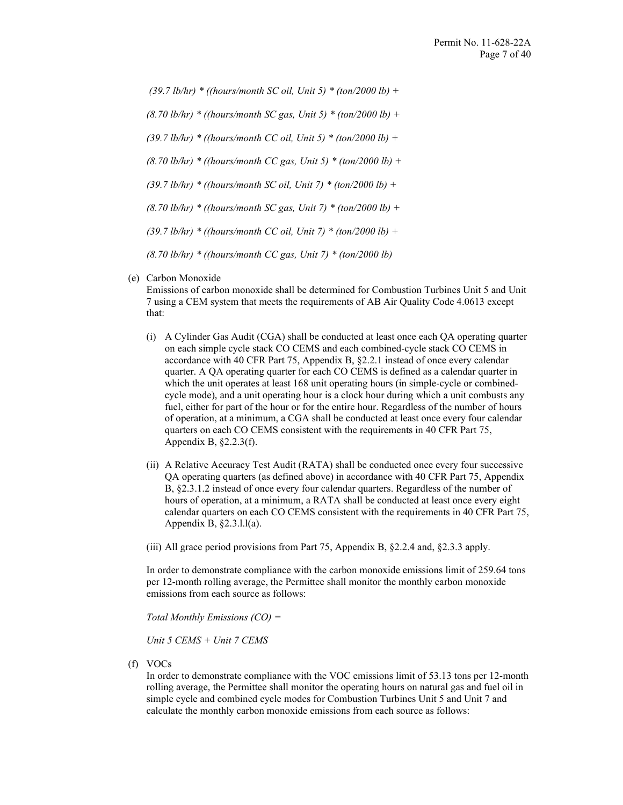*(39.7 lb/hr) \* ((hours/month SC oil, Unit 5) \* (ton/2000 lb) + (8.70 lb/hr) \* ((hours/month SC gas, Unit 5) \* (ton/2000 lb) + (39.7 lb/hr) \* ((hours/month CC oil, Unit 5) \* (ton/2000 lb) + (8.70 lb/hr) \* ((hours/month CC gas, Unit 5) \* (ton/2000 lb) + (39.7 lb/hr) \* ((hours/month SC oil, Unit 7) \* (ton/2000 lb) + (8.70 lb/hr) \* ((hours/month SC gas, Unit 7) \* (ton/2000 lb) + (39.7 lb/hr) \* ((hours/month CC oil, Unit 7) \* (ton/2000 lb) + (8.70 lb/hr) \* ((hours/month CC gas, Unit 7) \* (ton/2000 lb)* 

(e) Carbon Monoxide

Emissions of carbon monoxide shall be determined for Combustion Turbines Unit 5 and Unit 7 using a CEM system that meets the requirements of AB Air Quality Code 4.0613 except that:

- (i) A Cylinder Gas Audit (CGA) shall be conducted at least once each QA operating quarter on each simple cycle stack CO CEMS and each combined-cycle stack CO CEMS in accordance with 40 CFR Part 75, Appendix B, §2.2.1 instead of once every calendar quarter. A QA operating quarter for each CO CEMS is defined as a calendar quarter in which the unit operates at least 168 unit operating hours (in simple-cycle or combinedcycle mode), and a unit operating hour is a clock hour during which a unit combusts any fuel, either for part of the hour or for the entire hour. Regardless of the number of hours of operation, at a minimum, a CGA shall be conducted at least once every four calendar quarters on each CO CEMS consistent with the requirements in 40 CFR Part 75, Appendix B, §2.2.3(f).
- (ii) A Relative Accuracy Test Audit (RATA) shall be conducted once every four successive QA operating quarters (as defined above) in accordance with 40 CFR Part 75, Appendix B, §2.3.1.2 instead of once every four calendar quarters. Regardless of the number of hours of operation, at a minimum, a RATA shall be conducted at least once every eight calendar quarters on each CO CEMS consistent with the requirements in 40 CFR Part 75, Appendix B, §2.3.l.l(a).
- (iii) All grace period provisions from Part 75, Appendix B, §2.2.4 and, §2.3.3 apply.

In order to demonstrate compliance with the carbon monoxide emissions limit of 259.64 tons per 12-month rolling average, the Permittee shall monitor the monthly carbon monoxide emissions from each source as follows:

*Total Monthly Emissions (CO) =* 

*Unit 5 CEMS + Unit 7 CEMS*

(f) VOCs

In order to demonstrate compliance with the VOC emissions limit of 53.13 tons per 12-month rolling average, the Permittee shall monitor the operating hours on natural gas and fuel oil in simple cycle and combined cycle modes for Combustion Turbines Unit 5 and Unit 7 and calculate the monthly carbon monoxide emissions from each source as follows: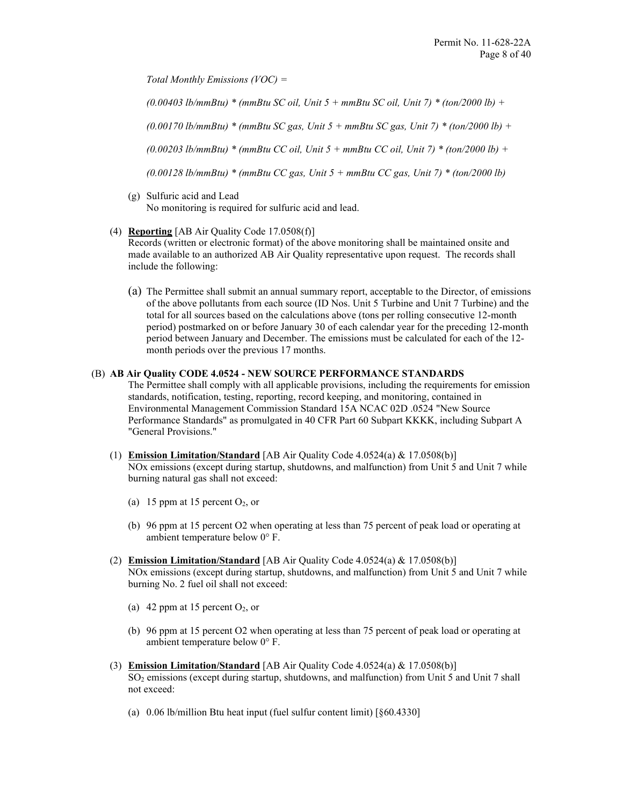*Total Monthly Emissions (VOC) =* 

*(0.00403 lb/mmBtu) \* (mmBtu SC oil, Unit 5 + mmBtu SC oil, Unit 7) \* (ton/2000 lb) +*

*(0.00170 lb/mmBtu) \* (mmBtu SC gas, Unit 5 + mmBtu SC gas, Unit 7) \* (ton/2000 lb) +*

*(0.00203 lb/mmBtu) \* (mmBtu CC oil, Unit 5 + mmBtu CC oil, Unit 7) \* (ton/2000 lb) +*

*(0.00128 lb/mmBtu) \* (mmBtu CC gas, Unit 5 + mmBtu CC gas, Unit 7) \* (ton/2000 lb)* 

- (g) Sulfuric acid and Lead No monitoring is required for sulfuric acid and lead.
- (4) **Reporting** [AB Air Quality Code 17.0508(f)]

Records (written or electronic format) of the above monitoring shall be maintained onsite and made available to an authorized AB Air Quality representative upon request. The records shall include the following:

(a) The Permittee shall submit an annual summary report, acceptable to the Director, of emissions of the above pollutants from each source (ID Nos. Unit 5 Turbine and Unit 7 Turbine) and the total for all sources based on the calculations above (tons per rolling consecutive 12-month period) postmarked on or before January 30 of each calendar year for the preceding 12-month period between January and December. The emissions must be calculated for each of the 12 month periods over the previous 17 months.

#### (B) **AB Air Quality CODE 4.0524 - NEW SOURCE PERFORMANCE STANDARDS**

The Permittee shall comply with all applicable provisions, including the requirements for emission standards, notification, testing, reporting, record keeping, and monitoring, contained in Environmental Management Commission Standard 15A NCAC 02D .0524 "New Source Performance Standards" as promulgated in 40 CFR Part 60 Subpart KKKK, including Subpart A "General Provisions."

- (1) **Emission Limitation/Standard** [AB Air Quality Code 4.0524(a) & 17.0508(b)] NOx emissions (except during startup, shutdowns, and malfunction) from Unit 5 and Unit 7 while burning natural gas shall not exceed:
	- (a) 15 ppm at 15 percent  $O_2$ , or
	- (b) 96 ppm at 15 percent O2 when operating at less than 75 percent of peak load or operating at ambient temperature below 0° F.
- (2) **Emission Limitation/Standard** [AB Air Quality Code 4.0524(a) & 17.0508(b)] NOx emissions (except during startup, shutdowns, and malfunction) from Unit 5 and Unit 7 while burning No. 2 fuel oil shall not exceed:
	- (a) 42 ppm at 15 percent  $O_2$ , or
	- (b) 96 ppm at 15 percent O2 when operating at less than 75 percent of peak load or operating at ambient temperature below 0° F.
- (3) **Emission Limitation/Standard** [AB Air Quality Code 4.0524(a) & 17.0508(b)] SO2 emissions (except during startup, shutdowns, and malfunction) from Unit 5 and Unit 7 shall not exceed:
	- (a) 0.06 lb/million Btu heat input (fuel sulfur content limit) [§60.4330]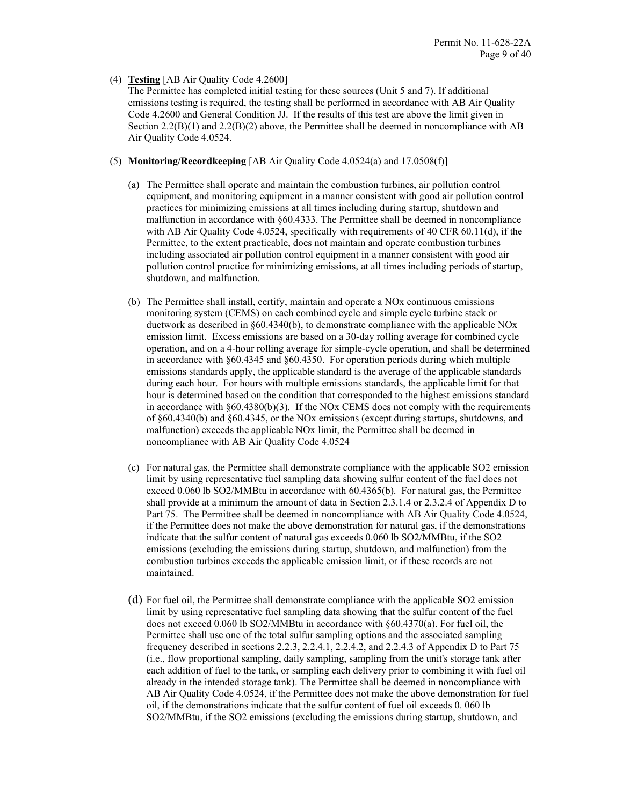### (4) **Testing** [AB Air Quality Code 4.2600]

The Permittee has completed initial testing for these sources (Unit 5 and 7). If additional emissions testing is required, the testing shall be performed in accordance with AB Air Quality Code 4.2600 and General Condition JJ. If the results of this test are above the limit given in Section  $2.2(B)(1)$  and  $2.2(B)(2)$  above, the Permittee shall be deemed in noncompliance with AB Air Quality Code 4.0524.

- (5) **Monitoring/Recordkeeping** [AB Air Quality Code 4.0524(a) and 17.0508(f)]
	- (a) The Permittee shall operate and maintain the combustion turbines, air pollution control equipment, and monitoring equipment in a manner consistent with good air pollution control practices for minimizing emissions at all times including during startup, shutdown and malfunction in accordance with §60.4333. The Permittee shall be deemed in noncompliance with AB Air Quality Code 4.0524, specifically with requirements of 40 CFR 60.11(d), if the Permittee, to the extent practicable, does not maintain and operate combustion turbines including associated air pollution control equipment in a manner consistent with good air pollution control practice for minimizing emissions, at all times including periods of startup, shutdown, and malfunction.
	- (b) The Permittee shall install, certify, maintain and operate a NOx continuous emissions monitoring system (CEMS) on each combined cycle and simple cycle turbine stack or ductwork as described in §60.4340(b), to demonstrate compliance with the applicable NOx emission limit. Excess emissions are based on a 30-day rolling average for combined cycle operation, and on a 4-hour rolling average for simple-cycle operation, and shall be determined in accordance with §60.4345 and §60.4350. For operation periods during which multiple emissions standards apply, the applicable standard is the average of the applicable standards during each hour. For hours with multiple emissions standards, the applicable limit for that hour is determined based on the condition that corresponded to the highest emissions standard in accordance with  $\S 60.4380(b)(3)$ . If the NOx CEMS does not comply with the requirements of §60.4340(b) and §60.4345, or the NOx emissions (except during startups, shutdowns, and malfunction) exceeds the applicable NOx limit, the Permittee shall be deemed in noncompliance with AB Air Quality Code 4.0524
	- (c) For natural gas, the Permittee shall demonstrate compliance with the applicable SO2 emission limit by using representative fuel sampling data showing sulfur content of the fuel does not exceed 0.060 lb SO2/MMBtu in accordance with 60.4365(b). For natural gas, the Permittee shall provide at a minimum the amount of data in Section 2.3.1.4 or 2.3.2.4 of Appendix D to Part 75. The Permittee shall be deemed in noncompliance with AB Air Quality Code 4.0524, if the Permittee does not make the above demonstration for natural gas, if the demonstrations indicate that the sulfur content of natural gas exceeds 0.060 lb SO2/MMBtu, if the SO2 emissions (excluding the emissions during startup, shutdown, and malfunction) from the combustion turbines exceeds the applicable emission limit, or if these records are not maintained.
	- (d) For fuel oil, the Permittee shall demonstrate compliance with the applicable SO2 emission limit by using representative fuel sampling data showing that the sulfur content of the fuel does not exceed 0.060 lb SO2/MMBtu in accordance with §60.4370(a). For fuel oil, the Permittee shall use one of the total sulfur sampling options and the associated sampling frequency described in sections 2.2.3, 2.2.4.1, 2.2.4.2, and 2.2.4.3 of Appendix D to Part 75 (i.e., flow proportional sampling, daily sampling, sampling from the unit's storage tank after each addition of fuel to the tank, or sampling each delivery prior to combining it with fuel oil already in the intended storage tank). The Permittee shall be deemed in noncompliance with AB Air Quality Code 4.0524, if the Permittee does not make the above demonstration for fuel oil, if the demonstrations indicate that the sulfur content of fuel oil exceeds 0. 060 lb SO2/MMBtu, if the SO2 emissions (excluding the emissions during startup, shutdown, and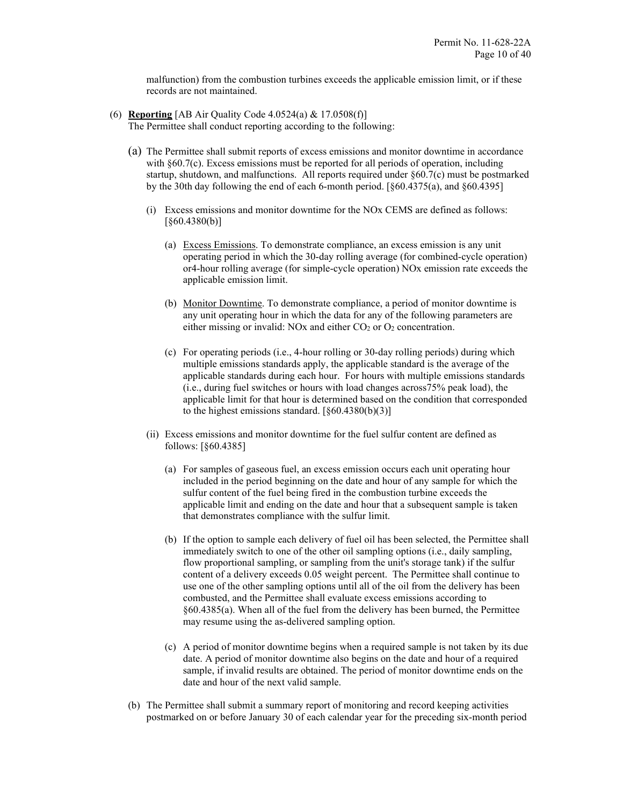malfunction) from the combustion turbines exceeds the applicable emission limit, or if these records are not maintained.

- (6) **Reporting** [AB Air Quality Code 4.0524(a) & 17.0508(f)] The Permittee shall conduct reporting according to the following:
	- (a) The Permittee shall submit reports of excess emissions and monitor downtime in accordance with §60.7(c). Excess emissions must be reported for all periods of operation, including startup, shutdown, and malfunctions. All reports required under  $\S60.7(c)$  must be postmarked by the 30th day following the end of each 6-month period. [§60.4375(a), and §60.4395]
		- (i) Excess emissions and monitor downtime for the NOx CEMS are defined as follows: [§60.4380(b)]
			- (a) Excess Emissions. To demonstrate compliance, an excess emission is any unit operating period in which the 30-day rolling average (for combined-cycle operation) or4-hour rolling average (for simple-cycle operation) NOx emission rate exceeds the applicable emission limit.
			- (b) Monitor Downtime. To demonstrate compliance, a period of monitor downtime is any unit operating hour in which the data for any of the following parameters are either missing or invalid: NOx and either  $CO<sub>2</sub>$  or  $O<sub>2</sub>$  concentration.
			- (c) For operating periods (i.e., 4-hour rolling or 30-day rolling periods) during which multiple emissions standards apply, the applicable standard is the average of the applicable standards during each hour. For hours with multiple emissions standards (i.e., during fuel switches or hours with load changes across75% peak load), the applicable limit for that hour is determined based on the condition that corresponded to the highest emissions standard.  $[§60.4380(b)(3)]$
		- (ii) Excess emissions and monitor downtime for the fuel sulfur content are defined as follows: [§60.4385]
			- (a) For samples of gaseous fuel, an excess emission occurs each unit operating hour included in the period beginning on the date and hour of any sample for which the sulfur content of the fuel being fired in the combustion turbine exceeds the applicable limit and ending on the date and hour that a subsequent sample is taken that demonstrates compliance with the sulfur limit.
			- (b) If the option to sample each delivery of fuel oil has been selected, the Permittee shall immediately switch to one of the other oil sampling options (i.e., daily sampling, flow proportional sampling, or sampling from the unit's storage tank) if the sulfur content of a delivery exceeds 0.05 weight percent. The Permittee shall continue to use one of the other sampling options until all of the oil from the delivery has been combusted, and the Permittee shall evaluate excess emissions according to §60.4385(a). When all of the fuel from the delivery has been burned, the Permittee may resume using the as-delivered sampling option.
			- (c) A period of monitor downtime begins when a required sample is not taken by its due date. A period of monitor downtime also begins on the date and hour of a required sample, if invalid results are obtained. The period of monitor downtime ends on the date and hour of the next valid sample.
	- (b) The Permittee shall submit a summary report of monitoring and record keeping activities postmarked on or before January 30 of each calendar year for the preceding six-month period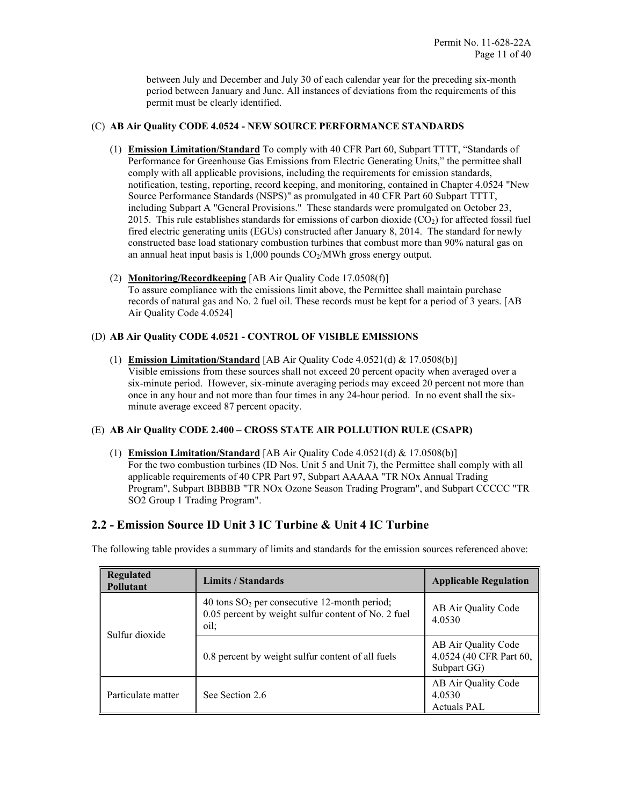between July and December and July 30 of each calendar year for the preceding six-month period between January and June. All instances of deviations from the requirements of this permit must be clearly identified.

### (C) **AB Air Quality CODE 4.0524 - NEW SOURCE PERFORMANCE STANDARDS**

- (1) **Emission Limitation/Standard** To comply with 40 CFR Part 60, Subpart TTTT, "Standards of Performance for Greenhouse Gas Emissions from Electric Generating Units," the permittee shall comply with all applicable provisions, including the requirements for emission standards, notification, testing, reporting, record keeping, and monitoring, contained in Chapter 4.0524 "New Source Performance Standards (NSPS)" as promulgated in 40 CFR Part 60 Subpart TTTT, including Subpart A "General Provisions." These standards were promulgated on October 23, 2015. This rule establishes standards for emissions of carbon dioxide  $(CO<sub>2</sub>)$  for affected fossil fuel fired electric generating units (EGUs) constructed after January 8, 2014. The standard for newly constructed base load stationary combustion turbines that combust more than 90% natural gas on an annual heat input basis is  $1,000$  pounds  $CO<sub>2</sub>/MWh$  gross energy output.
- (2) **Monitoring/Recordkeeping** [AB Air Quality Code 17.0508(f)] To assure compliance with the emissions limit above, the Permittee shall maintain purchase records of natural gas and No. 2 fuel oil. These records must be kept for a period of 3 years. [AB Air Quality Code 4.0524]

### (D) **AB Air Quality CODE 4.0521 - CONTROL OF VISIBLE EMISSIONS**

(1) **Emission Limitation/Standard** [AB Air Quality Code 4.0521(d) & 17.0508(b)] Visible emissions from these sources shall not exceed 20 percent opacity when averaged over a six-minute period. However, six-minute averaging periods may exceed 20 percent not more than once in any hour and not more than four times in any 24-hour period. In no event shall the sixminute average exceed 87 percent opacity.

### (E) **AB Air Quality CODE 2.400 – CROSS STATE AIR POLLUTION RULE (CSAPR)**

(1) **Emission Limitation/Standard** [AB Air Quality Code 4.0521(d) & 17.0508(b)] For the two combustion turbines (ID Nos. Unit 5 and Unit 7), the Permittee shall comply with all applicable requirements of 40 CPR Part 97, Subpart AAAAA "TR NOx Annual Trading Program", Subpart BBBBB "TR NOx Ozone Season Trading Program", and Subpart CCCCC "TR SO2 Group 1 Trading Program".

### **2.2 - Emission Source ID Unit 3 IC Turbine & Unit 4 IC Turbine**

The following table provides a summary of limits and standards for the emission sources referenced above:

| <b>Regulated</b><br>Limits / Standards<br>Pollutant |                                                                                                                | <b>Applicable Regulation</b>                                  |
|-----------------------------------------------------|----------------------------------------------------------------------------------------------------------------|---------------------------------------------------------------|
| Sulfur dioxide                                      | 40 tons $SO_2$ per consecutive 12-month period;<br>0.05 percent by weight sulfur content of No. 2 fuel<br>oil: | AB Air Quality Code<br>4.0530                                 |
|                                                     | 0.8 percent by weight sulfur content of all fuels                                                              | AB Air Quality Code<br>4.0524 (40 CFR Part 60,<br>Subpart GG) |
| Particulate matter                                  | See Section 2.6                                                                                                | AB Air Quality Code<br>4.0530<br><b>Actuals PAL</b>           |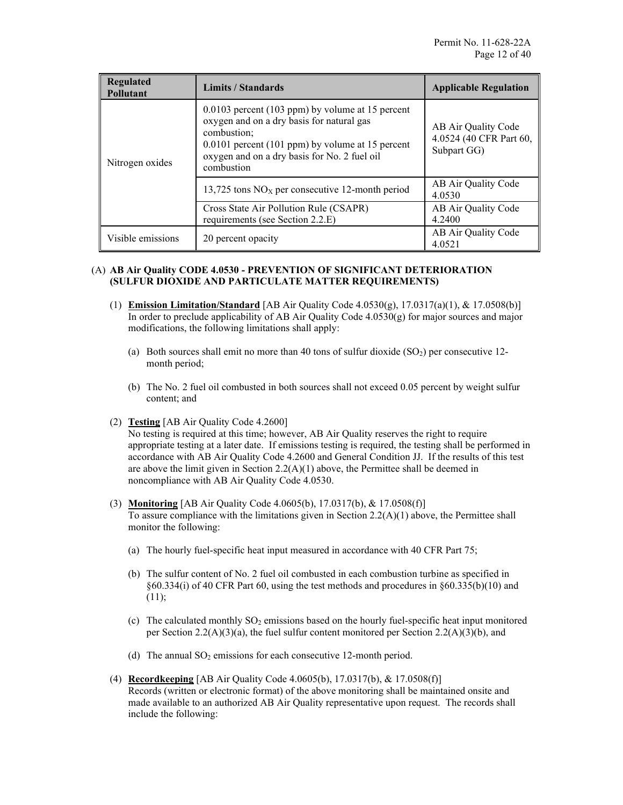| Regulated<br><b>Pollutant</b> | Limits / Standards                                                                                                                                                                                                                 | <b>Applicable Regulation</b>                                  |
|-------------------------------|------------------------------------------------------------------------------------------------------------------------------------------------------------------------------------------------------------------------------------|---------------------------------------------------------------|
| Nitrogen oxides               | $0.0103$ percent (103 ppm) by volume at 15 percent<br>oxygen and on a dry basis for natural gas<br>combustion:<br>$0.0101$ percent (101 ppm) by volume at 15 percent<br>oxygen and on a dry basis for No. 2 fuel oil<br>combustion | AB Air Quality Code<br>4.0524 (40 CFR Part 60,<br>Subpart GG) |
|                               | 13,725 tons $NOX$ per consecutive 12-month period                                                                                                                                                                                  | AB Air Quality Code<br>4.0530                                 |
|                               | Cross State Air Pollution Rule (CSAPR)<br>requirements (see Section 2.2.E)                                                                                                                                                         | AB Air Quality Code<br>4.2400                                 |
| Visible emissions             | 20 percent opacity                                                                                                                                                                                                                 | AB Air Quality Code<br>4.0521                                 |

### (A) **AB Air Quality CODE 4.0530 - PREVENTION OF SIGNIFICANT DETERIORATION (SULFUR DIOXIDE AND PARTICULATE MATTER REQUIREMENTS)**

- (1) **Emission Limitation/Standard** [AB Air Quality Code 4.0530(g), 17.0317(a)(1), & 17.0508(b)] In order to preclude applicability of AB Air Quality Code  $4.0530(g)$  for major sources and major modifications, the following limitations shall apply:
	- (a) Both sources shall emit no more than 40 tons of sulfur dioxide  $(SO<sub>2</sub>)$  per consecutive 12month period;
	- (b) The No. 2 fuel oil combusted in both sources shall not exceed 0.05 percent by weight sulfur content; and
- (2) **Testing** [AB Air Quality Code 4.2600]

No testing is required at this time; however, AB Air Quality reserves the right to require appropriate testing at a later date. If emissions testing is required, the testing shall be performed in accordance with AB Air Quality Code 4.2600 and General Condition JJ. If the results of this test are above the limit given in Section  $2.2(A)(1)$  above, the Permittee shall be deemed in noncompliance with AB Air Quality Code 4.0530.

- (3) **Monitoring** [AB Air Quality Code 4.0605(b), 17.0317(b), & 17.0508(f)] To assure compliance with the limitations given in Section  $2.2(A)(1)$  above, the Permittee shall monitor the following:
	- (a) The hourly fuel-specific heat input measured in accordance with 40 CFR Part 75;
	- (b) The sulfur content of No. 2 fuel oil combusted in each combustion turbine as specified in §60.334(i) of 40 CFR Part 60, using the test methods and procedures in §60.335(b)(10) and  $(11);$
	- (c) The calculated monthly  $SO_2$  emissions based on the hourly fuel-specific heat input monitored per Section 2.2(A)(3)(a), the fuel sulfur content monitored per Section 2.2(A)(3)(b), and
	- (d) The annual  $SO_2$  emissions for each consecutive 12-month period.
- (4) **Recordkeeping** [AB Air Quality Code 4.0605(b), 17.0317(b), & 17.0508(f)] Records (written or electronic format) of the above monitoring shall be maintained onsite and made available to an authorized AB Air Quality representative upon request. The records shall include the following: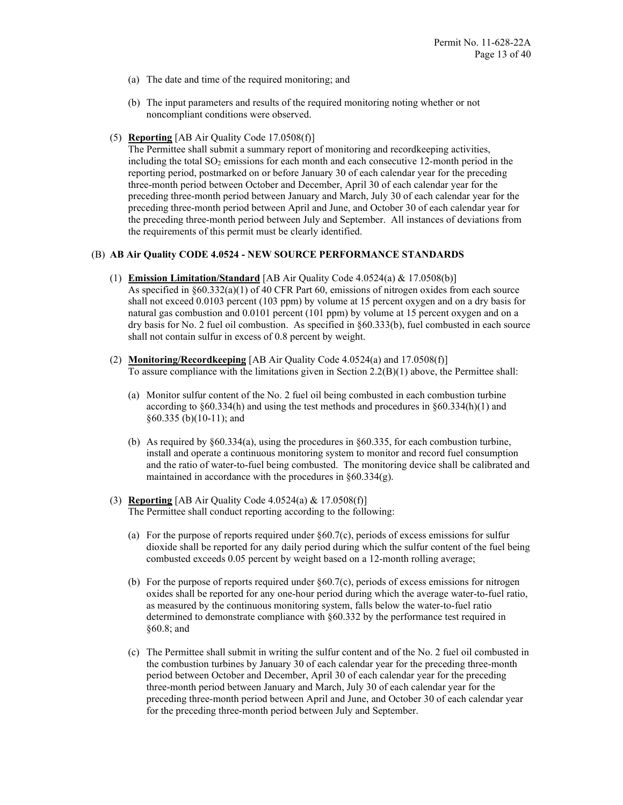- (a) The date and time of the required monitoring; and
- (b) The input parameters and results of the required monitoring noting whether or not noncompliant conditions were observed.
- (5) **Reporting** [AB Air Quality Code 17.0508(f)]

The Permittee shall submit a summary report of monitoring and recordkeeping activities, including the total  $SO_2$  emissions for each month and each consecutive 12-month period in the reporting period, postmarked on or before January 30 of each calendar year for the preceding three-month period between October and December, April 30 of each calendar year for the preceding three-month period between January and March, July 30 of each calendar year for the preceding three-month period between April and June, and October 30 of each calendar year for the preceding three-month period between July and September. All instances of deviations from the requirements of this permit must be clearly identified.

### (B) **AB Air Quality CODE 4.0524 - NEW SOURCE PERFORMANCE STANDARDS**

- (1) **Emission Limitation/Standard** [AB Air Quality Code 4.0524(a) & 17.0508(b)] As specified in  $\S 60.332(a)(1)$  of 40 CFR Part 60, emissions of nitrogen oxides from each source shall not exceed 0.0103 percent (103 ppm) by volume at 15 percent oxygen and on a dry basis for natural gas combustion and 0.0101 percent (101 ppm) by volume at 15 percent oxygen and on a dry basis for No. 2 fuel oil combustion. As specified in §60.333(b), fuel combusted in each source shall not contain sulfur in excess of 0.8 percent by weight.
- (2) **Monitoring/Recordkeeping** [AB Air Quality Code 4.0524(a) and 17.0508(f)] To assure compliance with the limitations given in Section  $2.2(B)(1)$  above, the Permittee shall:
	- (a) Monitor sulfur content of the No. 2 fuel oil being combusted in each combustion turbine according to §60.334(h) and using the test methods and procedures in §60.334(h)(1) and §60.335 (b)(10-11); and
	- (b) As required by §60.334(a), using the procedures in §60.335, for each combustion turbine, install and operate a continuous monitoring system to monitor and record fuel consumption and the ratio of water-to-fuel being combusted. The monitoring device shall be calibrated and maintained in accordance with the procedures in §60.334(g).
- (3) **Reporting** [AB Air Quality Code 4.0524(a) & 17.0508(f)] The Permittee shall conduct reporting according to the following:
	- (a) For the purpose of reports required under §60.7(c), periods of excess emissions for sulfur dioxide shall be reported for any daily period during which the sulfur content of the fuel being combusted exceeds 0.05 percent by weight based on a 12-month rolling average;
	- (b) For the purpose of reports required under  $\S60.7(c)$ , periods of excess emissions for nitrogen oxides shall be reported for any one-hour period during which the average water-to-fuel ratio, as measured by the continuous monitoring system, falls below the water-to-fuel ratio determined to demonstrate compliance with §60.332 by the performance test required in §60.8; and
	- (c) The Permittee shall submit in writing the sulfur content and of the No. 2 fuel oil combusted in the combustion turbines by January 30 of each calendar year for the preceding three-month period between October and December, April 30 of each calendar year for the preceding three-month period between January and March, July 30 of each calendar year for the preceding three-month period between April and June, and October 30 of each calendar year for the preceding three-month period between July and September.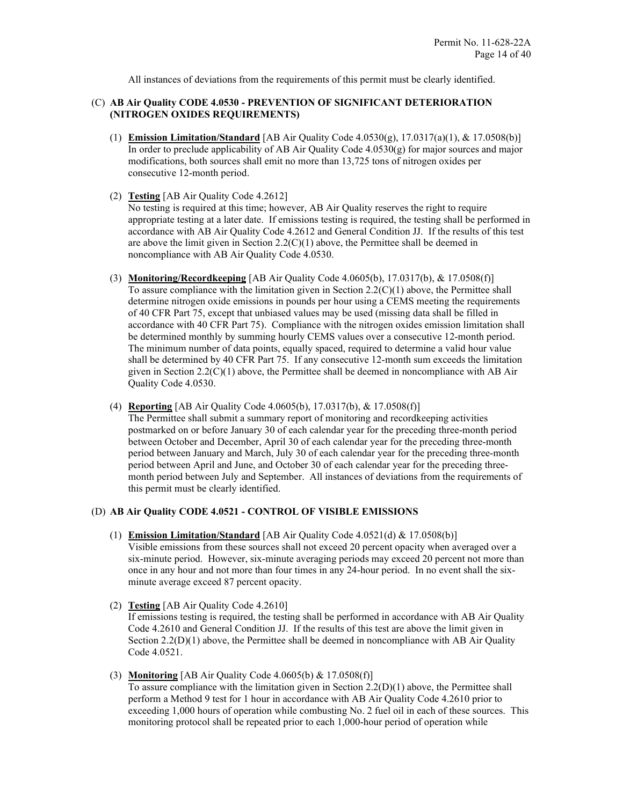All instances of deviations from the requirements of this permit must be clearly identified.

### (C) **AB Air Quality CODE 4.0530 - PREVENTION OF SIGNIFICANT DETERIORATION (NITROGEN OXIDES REQUIREMENTS)**

- (1) **Emission Limitation/Standard** [AB Air Quality Code 4.0530(g), 17.0317(a)(1), & 17.0508(b)] In order to preclude applicability of AB Air Quality Code 4.0530(g) for major sources and major modifications, both sources shall emit no more than 13,725 tons of nitrogen oxides per consecutive 12-month period.
- (2) **Testing** [AB Air Quality Code 4.2612]

No testing is required at this time; however, AB Air Quality reserves the right to require appropriate testing at a later date. If emissions testing is required, the testing shall be performed in accordance with AB Air Quality Code 4.2612 and General Condition JJ. If the results of this test are above the limit given in Section 2.2(C)(1) above, the Permittee shall be deemed in noncompliance with AB Air Quality Code 4.0530.

- (3) **Monitoring/Recordkeeping** [AB Air Quality Code 4.0605(b), 17.0317(b), & 17.0508(f)] To assure compliance with the limitation given in Section 2.2(C)(1) above, the Permittee shall determine nitrogen oxide emissions in pounds per hour using a CEMS meeting the requirements of 40 CFR Part 75, except that unbiased values may be used (missing data shall be filled in accordance with 40 CFR Part 75). Compliance with the nitrogen oxides emission limitation shall be determined monthly by summing hourly CEMS values over a consecutive 12-month period. The minimum number of data points, equally spaced, required to determine a valid hour value shall be determined by 40 CFR Part 75. If any consecutive 12-month sum exceeds the limitation given in Section  $2.2(C)(1)$  above, the Permittee shall be deemed in noncompliance with AB Air Quality Code 4.0530.
- (4) **Reporting** [AB Air Quality Code 4.0605(b), 17.0317(b), & 17.0508(f)]
	- The Permittee shall submit a summary report of monitoring and recordkeeping activities postmarked on or before January 30 of each calendar year for the preceding three-month period between October and December, April 30 of each calendar year for the preceding three-month period between January and March, July 30 of each calendar year for the preceding three-month period between April and June, and October 30 of each calendar year for the preceding threemonth period between July and September. All instances of deviations from the requirements of this permit must be clearly identified.

### (D) **AB Air Quality CODE 4.0521 - CONTROL OF VISIBLE EMISSIONS**

- (1) **Emission Limitation/Standard** [AB Air Quality Code 4.0521(d) & 17.0508(b)] Visible emissions from these sources shall not exceed 20 percent opacity when averaged over a six-minute period. However, six-minute averaging periods may exceed 20 percent not more than once in any hour and not more than four times in any 24-hour period. In no event shall the sixminute average exceed 87 percent opacity.
- (2) **Testing** [AB Air Quality Code 4.2610] If emissions testing is required, the testing shall be performed in accordance with AB Air Quality Code 4.2610 and General Condition JJ. If the results of this test are above the limit given in Section  $2.2(D)(1)$  above, the Permittee shall be deemed in noncompliance with AB Air Quality Code 4.0521.
- (3) **Monitoring** [AB Air Quality Code 4.0605(b) & 17.0508(f)] To assure compliance with the limitation given in Section 2.2(D)(1) above, the Permittee shall perform a Method 9 test for 1 hour in accordance with AB Air Quality Code 4.2610 prior to exceeding 1,000 hours of operation while combusting No. 2 fuel oil in each of these sources. This monitoring protocol shall be repeated prior to each 1,000-hour period of operation while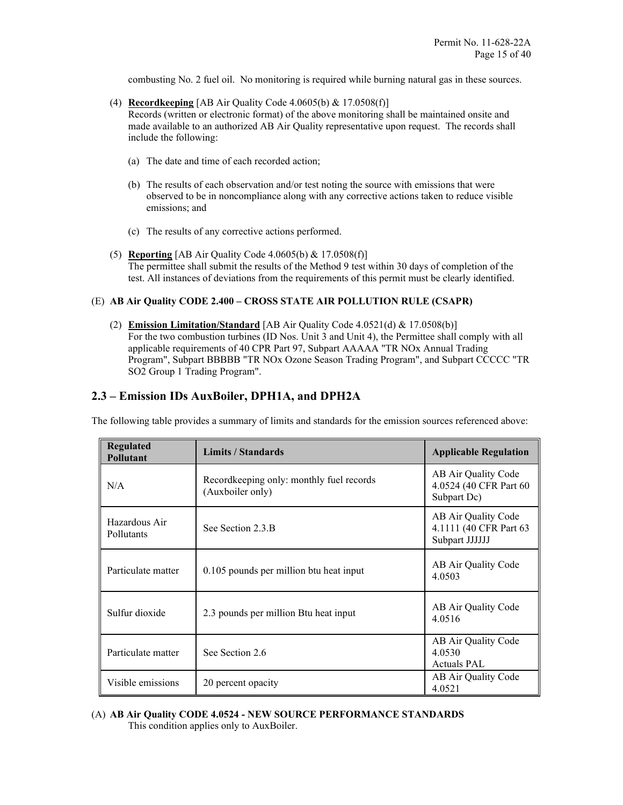combusting No. 2 fuel oil. No monitoring is required while burning natural gas in these sources.

- (4) **Recordkeeping** [AB Air Quality Code 4.0605(b) & 17.0508(f)] Records (written or electronic format) of the above monitoring shall be maintained onsite and made available to an authorized AB Air Quality representative upon request. The records shall include the following:
	- (a) The date and time of each recorded action;
	- (b) The results of each observation and/or test noting the source with emissions that were observed to be in noncompliance along with any corrective actions taken to reduce visible emissions; and
	- (c) The results of any corrective actions performed.
- (5) **Reporting** [AB Air Quality Code 4.0605(b) & 17.0508(f)] The permittee shall submit the results of the Method 9 test within 30 days of completion of the test. All instances of deviations from the requirements of this permit must be clearly identified.

### (E) **AB Air Quality CODE 2.400 – CROSS STATE AIR POLLUTION RULE (CSAPR)**

(2) **Emission Limitation/Standard** [AB Air Quality Code 4.0521(d) & 17.0508(b)] For the two combustion turbines (ID Nos. Unit 3 and Unit 4), the Permittee shall comply with all applicable requirements of 40 CPR Part 97, Subpart AAAAA "TR NOx Annual Trading Program", Subpart BBBBB "TR NOx Ozone Season Trading Program", and Subpart CCCCC "TR SO2 Group 1 Trading Program".

### **2.3 – Emission IDs AuxBoiler, DPH1A, and DPH2A**

The following table provides a summary of limits and standards for the emission sources referenced above:

| <b>Regulated</b><br>Pollutant | <b>Limits / Standards</b>                                     | <b>Applicable Regulation</b>                                    |  |
|-------------------------------|---------------------------------------------------------------|-----------------------------------------------------------------|--|
| N/A                           | Record keeping only: monthly fuel records<br>(Auxboiler only) | AB Air Quality Code<br>4.0524 (40 CFR Part 60<br>Subpart Dc)    |  |
| Hazardous Air<br>Pollutants   | See Section 2.3.B                                             | AB Air Quality Code<br>4.1111 (40 CFR Part 63<br>Subpart JJJJJJ |  |
| Particulate matter            | 0.105 pounds per million btu heat input                       | AB Air Quality Code<br>4.0503                                   |  |
| Sulfur dioxide                | 2.3 pounds per million Btu heat input                         | AB Air Quality Code<br>4.0516                                   |  |
| Particulate matter            | See Section 2.6                                               | AB Air Quality Code<br>4.0530<br><b>Actuals PAL</b>             |  |
| Visible emissions             | 20 percent opacity                                            | AB Air Quality Code<br>4.0521                                   |  |

### (A) **AB Air Quality CODE 4.0524 - NEW SOURCE PERFORMANCE STANDARDS** This condition applies only to AuxBoiler.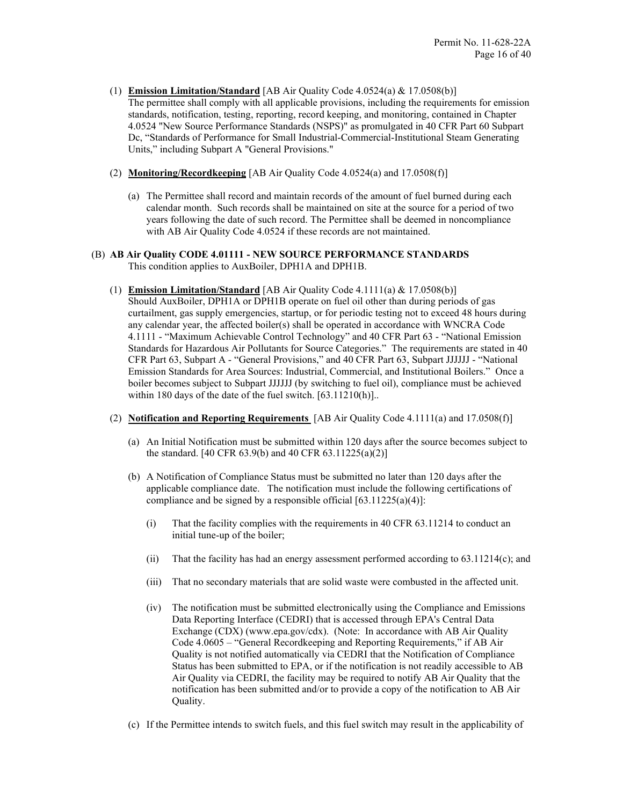- (1) **Emission Limitation/Standard** [AB Air Quality Code 4.0524(a) & 17.0508(b)] The permittee shall comply with all applicable provisions, including the requirements for emission standards, notification, testing, reporting, record keeping, and monitoring, contained in Chapter 4.0524 "New Source Performance Standards (NSPS)" as promulgated in 40 CFR Part 60 Subpart Dc, "Standards of Performance for Small Industrial-Commercial-Institutional Steam Generating Units," including Subpart A "General Provisions."
- (2) **Monitoring/Recordkeeping** [AB Air Quality Code 4.0524(a) and 17.0508(f)]
	- (a) The Permittee shall record and maintain records of the amount of fuel burned during each calendar month. Such records shall be maintained on site at the source for a period of two years following the date of such record. The Permittee shall be deemed in noncompliance with AB Air Quality Code 4.0524 if these records are not maintained.
- (B) **AB Air Quality CODE 4.01111 NEW SOURCE PERFORMANCE STANDARDS** This condition applies to AuxBoiler, DPH1A and DPH1B.
	- (1) **Emission Limitation/Standard** [AB Air Quality Code 4.1111(a) & 17.0508(b)] Should AuxBoiler, DPH1A or DPH1B operate on fuel oil other than during periods of gas curtailment, gas supply emergencies, startup, or for periodic testing not to exceed 48 hours during any calendar year, the affected boiler $(s)$  shall be operated in accordance with WNCRA Code 4.1111 - "Maximum Achievable Control Technology" and 40 CFR Part 63 - "National Emission Standards for Hazardous Air Pollutants for Source Categories." The requirements are stated in 40 CFR Part 63, Subpart A - "General Provisions," and 40 CFR Part 63, Subpart JJJJJJ - "National Emission Standards for Area Sources: Industrial, Commercial, and Institutional Boilers." Once a boiler becomes subject to Subpart JJJJJJ (by switching to fuel oil), compliance must be achieved within 180 days of the date of the fuel switch. [63.11210(h)]...
	- (2) **Notification and Reporting Requirements** [AB Air Quality Code 4.1111(a) and 17.0508(f)]
		- (a) An Initial Notification must be submitted within 120 days after the source becomes subject to the standard. [40 CFR 63.9(b) and 40 CFR 63.11225(a)(2)]
		- (b) A Notification of Compliance Status must be submitted no later than 120 days after the applicable compliance date. The notification must include the following certifications of compliance and be signed by a responsible official  $[63.11225(a)(4)]$ :
			- (i) That the facility complies with the requirements in 40 CFR 63.11214 to conduct an initial tune-up of the boiler;
			- (ii) That the facility has had an energy assessment performed according to 63.11214(c); and
			- (iii) That no secondary materials that are solid waste were combusted in the affected unit.
			- (iv) The notification must be submitted electronically using the Compliance and Emissions Data Reporting Interface (CEDRI) that is accessed through EPA's Central Data Exchange (CDX) (www.epa.gov/cdx). (Note: In accordance with AB Air Quality Code 4.0605 – "General Recordkeeping and Reporting Requirements," if AB Air Quality is not notified automatically via CEDRI that the Notification of Compliance Status has been submitted to EPA, or if the notification is not readily accessible to AB Air Quality via CEDRI, the facility may be required to notify AB Air Quality that the notification has been submitted and/or to provide a copy of the notification to AB Air Quality.
		- (c) If the Permittee intends to switch fuels, and this fuel switch may result in the applicability of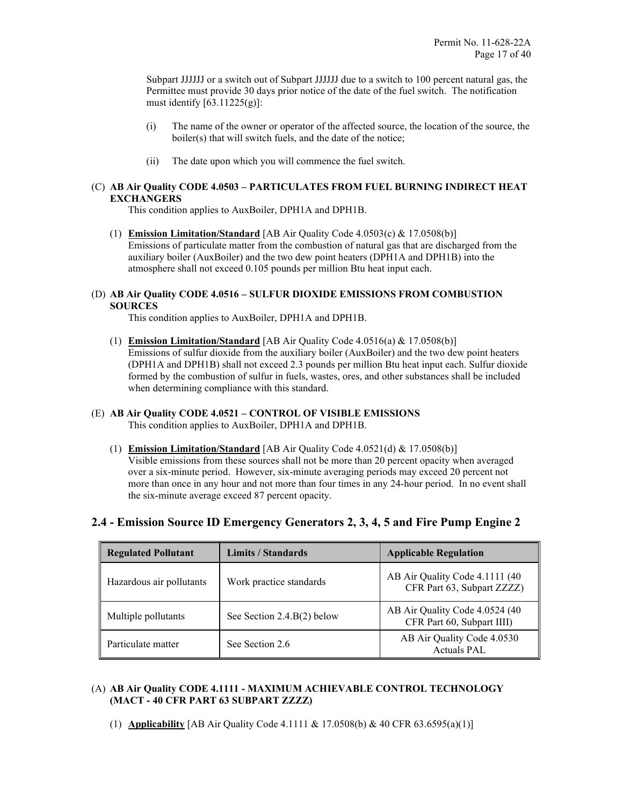Subpart JJJJJJ or a switch out of Subpart JJJJJJ due to a switch to 100 percent natural gas, the Permittee must provide 30 days prior notice of the date of the fuel switch. The notification must identify  $[63.11225(g)]$ :

- (i) The name of the owner or operator of the affected source, the location of the source, the boiler(s) that will switch fuels, and the date of the notice;
- (ii) The date upon which you will commence the fuel switch.

### (C) **AB Air Quality CODE 4.0503 – PARTICULATES FROM FUEL BURNING INDIRECT HEAT EXCHANGERS**

This condition applies to AuxBoiler, DPH1A and DPH1B.

(1) **Emission Limitation/Standard** [AB Air Quality Code 4.0503(c) & 17.0508(b)] Emissions of particulate matter from the combustion of natural gas that are discharged from the auxiliary boiler (AuxBoiler) and the two dew point heaters (DPH1A and DPH1B) into the atmosphere shall not exceed 0.105 pounds per million Btu heat input each.

### (D) **AB Air Quality CODE 4.0516 – SULFUR DIOXIDE EMISSIONS FROM COMBUSTION SOURCES**

This condition applies to AuxBoiler, DPH1A and DPH1B.

(1) **Emission Limitation/Standard** [AB Air Quality Code 4.0516(a) & 17.0508(b)] Emissions of sulfur dioxide from the auxiliary boiler (AuxBoiler) and the two dew point heaters (DPH1A and DPH1B) shall not exceed 2.3 pounds per million Btu heat input each. Sulfur dioxide formed by the combustion of sulfur in fuels, wastes, ores, and other substances shall be included when determining compliance with this standard.

### (E) **AB Air Quality CODE 4.0521 – CONTROL OF VISIBLE EMISSIONS**

This condition applies to AuxBoiler, DPH1A and DPH1B.

(1) **Emission Limitation/Standard** [AB Air Quality Code 4.0521(d) & 17.0508(b)] Visible emissions from these sources shall not be more than 20 percent opacity when averaged over a six-minute period. However, six-minute averaging periods may exceed 20 percent not more than once in any hour and not more than four times in any 24-hour period. In no event shall the six-minute average exceed 87 percent opacity.

| <b>Regulated Pollutant</b> | Limits / Standards           | <b>Applicable Regulation</b>                                 |
|----------------------------|------------------------------|--------------------------------------------------------------|
| Hazardous air pollutants   | Work practice standards      | AB Air Quality Code 4.1111 (40<br>CFR Part 63, Subpart ZZZZ) |
| Multiple pollutants        | See Section $2.4.B(2)$ below | AB Air Quality Code 4.0524 (40<br>CFR Part 60, Subpart IIII) |
| Particulate matter         | See Section 2.6              | AB Air Quality Code 4.0530<br>Actuals PAL                    |

### **2.4 - Emission Source ID Emergency Generators 2, 3, 4, 5 and Fire Pump Engine 2**

### (A) **AB Air Quality CODE 4.1111 - MAXIMUM ACHIEVABLE CONTROL TECHNOLOGY (MACT - 40 CFR PART 63 SUBPART ZZZZ)**

(1) **Applicability** [AB Air Quality Code 4.1111 & 17.0508(b) & 40 CFR 63.6595(a)(1)]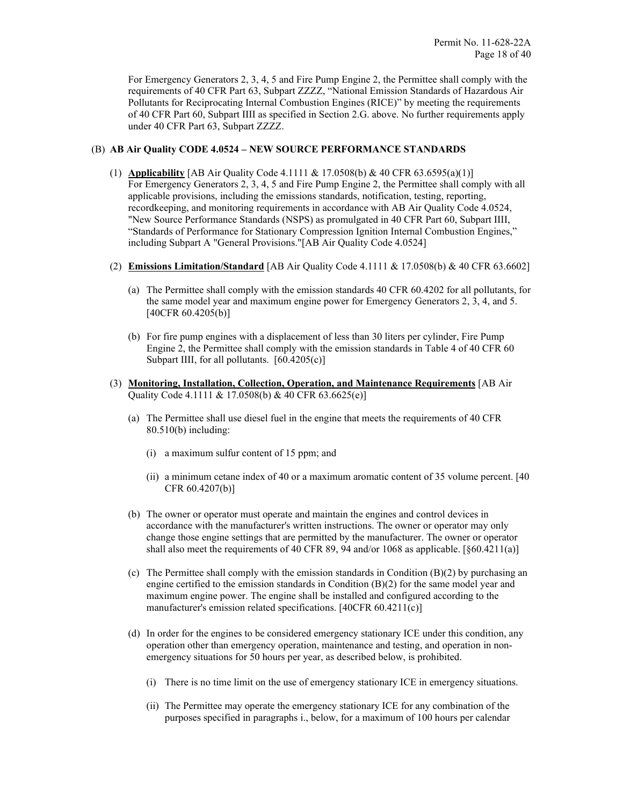For Emergency Generators 2, 3, 4, 5 and Fire Pump Engine 2, the Permittee shall comply with the requirements of 40 CFR Part 63, Subpart ZZZZ, "National Emission Standards of Hazardous Air Pollutants for Reciprocating Internal Combustion Engines (RICE)" by meeting the requirements of 40 CFR Part 60, Subpart IIII as specified in Section 2.G. above. No further requirements apply under 40 CFR Part 63, Subpart ZZZZ.

### (B) **AB Air Quality CODE 4.0524 – NEW SOURCE PERFORMANCE STANDARDS**

- (1) **Applicability** [AB Air Quality Code 4.1111 & 17.0508(b) & 40 CFR 63.6595(a)(1)] For Emergency Generators 2, 3, 4, 5 and Fire Pump Engine 2, the Permittee shall comply with all applicable provisions, including the emissions standards, notification, testing, reporting, recordkeeping, and monitoring requirements in accordance with AB Air Quality Code 4.0524, "New Source Performance Standards (NSPS) as promulgated in 40 CFR Part 60, Subpart IIII, "Standards of Performance for Stationary Compression Ignition Internal Combustion Engines," including Subpart A "General Provisions."[AB Air Quality Code 4.0524]
- (2) **Emissions Limitation/Standard** [AB Air Quality Code 4.1111 & 17.0508(b) & 40 CFR 63.6602]
	- (a) The Permittee shall comply with the emission standards 40 CFR 60.4202 for all pollutants, for the same model year and maximum engine power for Emergency Generators 2, 3, 4, and 5. [40CFR 60.4205(b)]
	- (b) For fire pump engines with a displacement of less than 30 liters per cylinder, Fire Pump Engine 2, the Permittee shall comply with the emission standards in Table 4 of 40 CFR 60 Subpart IIII, for all pollutants. [60.4205(c)]
- (3) **Monitoring, Installation, Collection, Operation, and Maintenance Requirements** [AB Air Quality Code 4.1111 & 17.0508(b) & 40 CFR 63.6625(e)]
	- (a) The Permittee shall use diesel fuel in the engine that meets the requirements of 40 CFR 80.510(b) including:
		- (i) a maximum sulfur content of 15 ppm; and
		- (ii) a minimum cetane index of 40 or a maximum aromatic content of 35 volume percent. [40 CFR 60.4207(b)]
	- (b) The owner or operator must operate and maintain the engines and control devices in accordance with the manufacturer's written instructions. The owner or operator may only change those engine settings that are permitted by the manufacturer. The owner or operator shall also meet the requirements of 40 CFR 89, 94 and/or 1068 as applicable.  $[\S 60.4211(a)]$
	- (c) The Permittee shall comply with the emission standards in Condition (B)(2) by purchasing an engine certified to the emission standards in Condition  $(B)(2)$  for the same model year and maximum engine power. The engine shall be installed and configured according to the manufacturer's emission related specifications. [40CFR 60.4211(c)]
	- (d) In order for the engines to be considered emergency stationary ICE under this condition, any operation other than emergency operation, maintenance and testing, and operation in nonemergency situations for 50 hours per year, as described below, is prohibited.
		- (i) There is no time limit on the use of emergency stationary ICE in emergency situations.
		- (ii) The Permittee may operate the emergency stationary ICE for any combination of the purposes specified in paragraphs i., below, for a maximum of 100 hours per calendar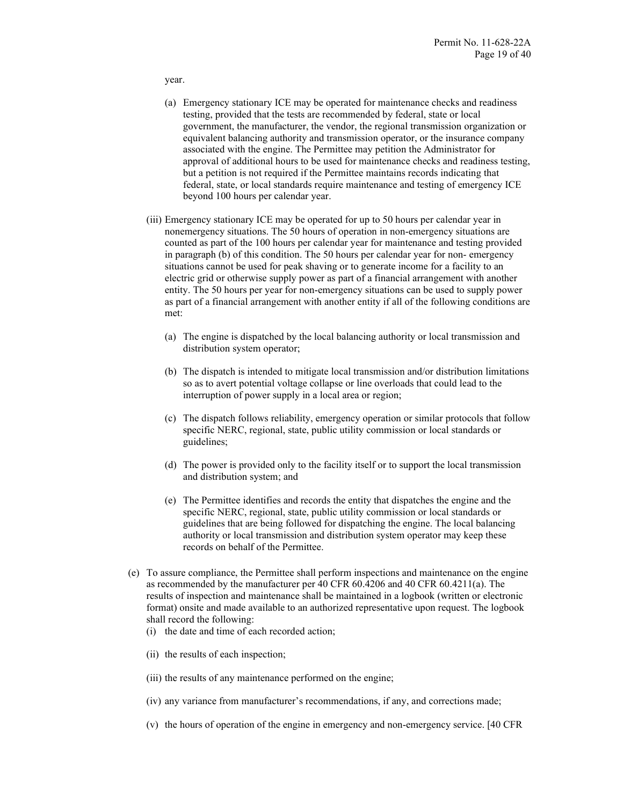year.

- (a) Emergency stationary ICE may be operated for maintenance checks and readiness testing, provided that the tests are recommended by federal, state or local government, the manufacturer, the vendor, the regional transmission organization or equivalent balancing authority and transmission operator, or the insurance company associated with the engine. The Permittee may petition the Administrator for approval of additional hours to be used for maintenance checks and readiness testing, but a petition is not required if the Permittee maintains records indicating that federal, state, or local standards require maintenance and testing of emergency ICE beyond 100 hours per calendar year.
- (iii) Emergency stationary ICE may be operated for up to 50 hours per calendar year in nonemergency situations. The 50 hours of operation in non-emergency situations are counted as part of the 100 hours per calendar year for maintenance and testing provided in paragraph (b) of this condition. The 50 hours per calendar year for non- emergency situations cannot be used for peak shaving or to generate income for a facility to an electric grid or otherwise supply power as part of a financial arrangement with another entity. The 50 hours per year for non-emergency situations can be used to supply power as part of a financial arrangement with another entity if all of the following conditions are met:
	- (a) The engine is dispatched by the local balancing authority or local transmission and distribution system operator;
	- (b) The dispatch is intended to mitigate local transmission and/or distribution limitations so as to avert potential voltage collapse or line overloads that could lead to the interruption of power supply in a local area or region;
	- (c) The dispatch follows reliability, emergency operation or similar protocols that follow specific NERC, regional, state, public utility commission or local standards or guidelines;
	- (d) The power is provided only to the facility itself or to support the local transmission and distribution system; and
	- (e) The Permittee identifies and records the entity that dispatches the engine and the specific NERC, regional, state, public utility commission or local standards or guidelines that are being followed for dispatching the engine. The local balancing authority or local transmission and distribution system operator may keep these records on behalf of the Permittee.
- (e) To assure compliance, the Permittee shall perform inspections and maintenance on the engine as recommended by the manufacturer per 40 CFR 60.4206 and 40 CFR 60.4211(a). The results of inspection and maintenance shall be maintained in a logbook (written or electronic format) onsite and made available to an authorized representative upon request. The logbook shall record the following:
	- (i) the date and time of each recorded action;
	- (ii) the results of each inspection;
	- (iii) the results of any maintenance performed on the engine;
	- (iv) any variance from manufacturer's recommendations, if any, and corrections made;
	- (v) the hours of operation of the engine in emergency and non-emergency service. [40 CFR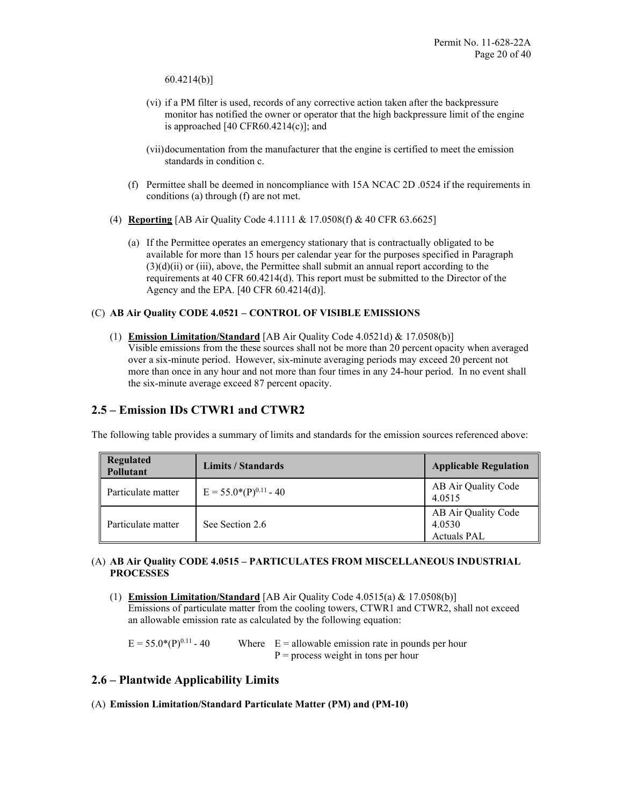60.4214(b)]

- (vi) if a PM filter is used, records of any corrective action taken after the backpressure monitor has notified the owner or operator that the high backpressure limit of the engine is approached  $[40 \text{ CFR}60.4214(c)]$ ; and
- (vii)documentation from the manufacturer that the engine is certified to meet the emission standards in condition c.
- (f) Permittee shall be deemed in noncompliance with 15A NCAC 2D .0524 if the requirements in conditions (a) through (f) are not met.
- (4) **Reporting** [AB Air Quality Code 4.1111 & 17.0508(f) & 40 CFR 63.6625]
	- (a) If the Permittee operates an emergency stationary that is contractually obligated to be available for more than 15 hours per calendar year for the purposes specified in Paragraph (3)(d)(ii) or (iii), above, the Permittee shall submit an annual report according to the requirements at 40 CFR 60.4214(d). This report must be submitted to the Director of the Agency and the EPA. [40 CFR 60.4214(d)].

### (C) **AB Air Quality CODE 4.0521 – CONTROL OF VISIBLE EMISSIONS**

(1) **Emission Limitation/Standard** [AB Air Quality Code 4.0521d) & 17.0508(b)] Visible emissions from the these sources shall not be more than 20 percent opacity when averaged over a six-minute period. However, six-minute averaging periods may exceed 20 percent not more than once in any hour and not more than four times in any 24-hour period. In no event shall the six-minute average exceed 87 percent opacity.

### **2.5 – Emission IDs CTWR1 and CTWR2**

The following table provides a summary of limits and standards for the emission sources referenced above:

| <b>Regulated</b><br><b>Pollutant</b> | Limits / Standards         | <b>Applicable Regulation</b>                        |
|--------------------------------------|----------------------------|-----------------------------------------------------|
| Particulate matter                   | $E = 55.0*(P)^{0.11} - 40$ | AB Air Quality Code<br>4.0515                       |
| Particulate matter                   | See Section 2.6            | AB Air Quality Code<br>4.0530<br><b>Actuals PAL</b> |

### (A) **AB Air Quality CODE 4.0515 – PARTICULATES FROM MISCELLANEOUS INDUSTRIAL PROCESSES**

(1) **Emission Limitation/Standard** [AB Air Quality Code 4.0515(a) & 17.0508(b)] Emissions of particulate matter from the cooling towers, CTWR1 and CTWR2, shall not exceed an allowable emission rate as calculated by the following equation:

 $E = 55.0*(P)^{0.11}$  - 40 Where  $E =$  allowable emission rate in pounds per hour  $P =$  process weight in tons per hour

### **2.6 – Plantwide Applicability Limits**

(A) **Emission Limitation/Standard Particulate Matter (PM) and (PM-10)**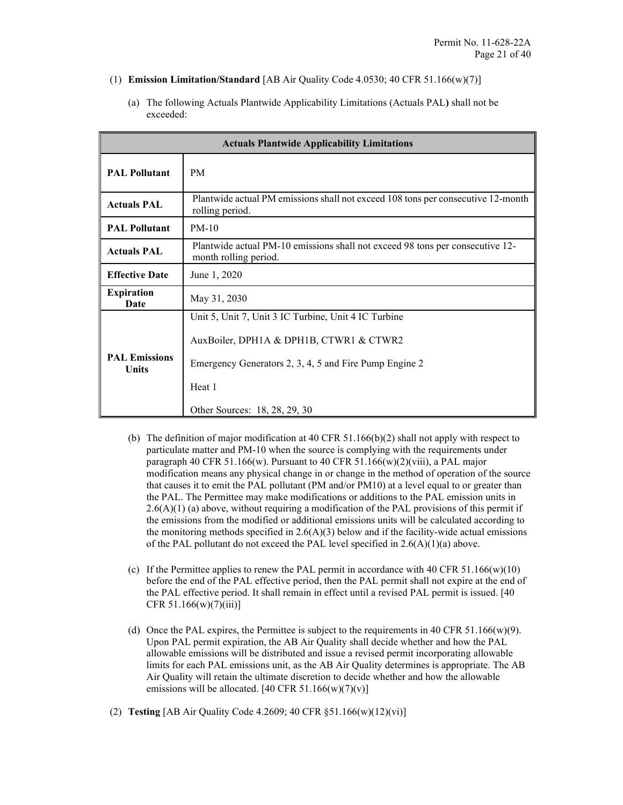- (1) **Emission Limitation/Standard** [AB Air Quality Code 4.0530; 40 CFR 51.166(w)(7)]
	- (a) The following Actuals Plantwide Applicability Limitations (Actuals PAL**)** shall not be exceeded:

| <b>Actuals Plantwide Applicability Limitations</b> |                                                                                                        |  |  |
|----------------------------------------------------|--------------------------------------------------------------------------------------------------------|--|--|
| <b>PAL Pollutant</b>                               | <b>PM</b>                                                                                              |  |  |
| <b>Actuals PAL</b>                                 | Plantwide actual PM emissions shall not exceed 108 tons per consecutive 12-month<br>rolling period.    |  |  |
| <b>PAL Pollutant</b>                               | $PM-10$                                                                                                |  |  |
| <b>Actuals PAL</b>                                 | Plantwide actual PM-10 emissions shall not exceed 98 tons per consecutive 12-<br>month rolling period. |  |  |
| <b>Effective Date</b>                              | June 1, 2020                                                                                           |  |  |
| <b>Expiration</b><br>Date                          | May 31, 2030                                                                                           |  |  |
|                                                    | Unit 5, Unit 7, Unit 3 IC Turbine, Unit 4 IC Turbine                                                   |  |  |
|                                                    | AuxBoiler, DPH1A & DPH1B, CTWR1 & CTWR2                                                                |  |  |
| <b>PAL Emissions</b><br><b>Units</b>               | Emergency Generators 2, 3, 4, 5 and Fire Pump Engine 2                                                 |  |  |
|                                                    | Heat 1                                                                                                 |  |  |
|                                                    | Other Sources: 18, 28, 29, 30                                                                          |  |  |

- (b) The definition of major modification at 40 CFR  $51.166(b)(2)$  shall not apply with respect to particulate matter and PM-10 when the source is complying with the requirements under paragraph 40 CFR 51.166(w). Pursuant to 40 CFR 51.166(w)(2)(viii), a PAL major modification means any physical change in or change in the method of operation of the source that causes it to emit the PAL pollutant (PM and/or PM10) at a level equal to or greater than the PAL. The Permittee may make modifications or additions to the PAL emission units in  $2.6(A)(1)$  (a) above, without requiring a modification of the PAL provisions of this permit if the emissions from the modified or additional emissions units will be calculated according to the monitoring methods specified in  $2.6(A)(3)$  below and if the facility-wide actual emissions of the PAL pollutant do not exceed the PAL level specified in  $2.6(A)(1)(a)$  above.
- (c) If the Permittee applies to renew the PAL permit in accordance with  $40 \text{ CFR } 51.166(\text{w})(10)$ before the end of the PAL effective period, then the PAL permit shall not expire at the end of the PAL effective period. It shall remain in effect until a revised PAL permit is issued. [40 CFR  $51.166(w)(7)(iii)$ ]
- (d) Once the PAL expires, the Permittee is subject to the requirements in 40 CFR 51.166(w)(9). Upon PAL permit expiration, the AB Air Quality shall decide whether and how the PAL allowable emissions will be distributed and issue a revised permit incorporating allowable limits for each PAL emissions unit, as the AB Air Quality determines is appropriate. The AB Air Quality will retain the ultimate discretion to decide whether and how the allowable emissions will be allocated. [40 CFR  $51.166(w)(7)(v)$ ]

### (2) **Testing** [AB Air Quality Code 4.2609; 40 CFR §51.166(w)(12)(vi)]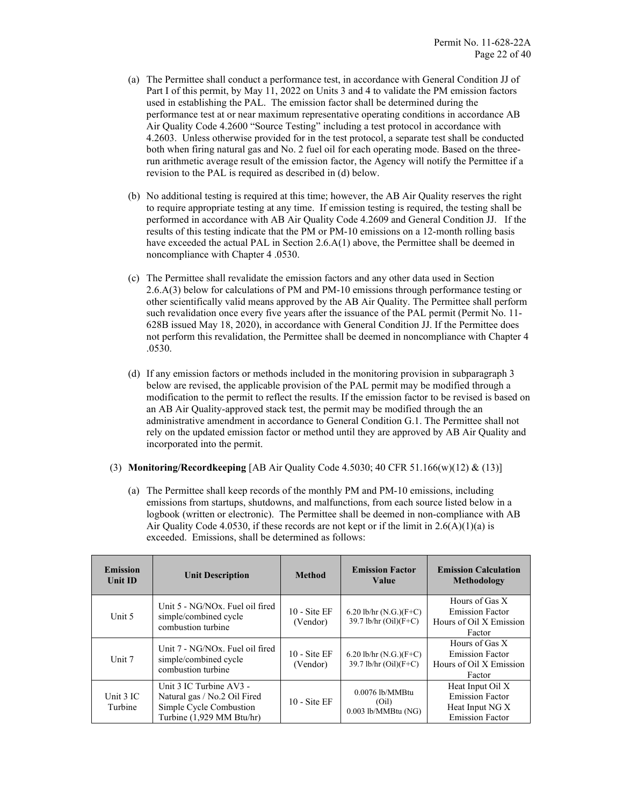- (a) The Permittee shall conduct a performance test, in accordance with General Condition JJ of Part I of this permit, by May 11, 2022 on Units 3 and 4 to validate the PM emission factors used in establishing the PAL. The emission factor shall be determined during the performance test at or near maximum representative operating conditions in accordance AB Air Quality Code 4.2600 "Source Testing" including a test protocol in accordance with 4.2603. Unless otherwise provided for in the test protocol, a separate test shall be conducted both when firing natural gas and No. 2 fuel oil for each operating mode. Based on the threerun arithmetic average result of the emission factor, the Agency will notify the Permittee if a revision to the PAL is required as described in (d) below.
- (b) No additional testing is required at this time; however, the AB Air Quality reserves the right to require appropriate testing at any time. If emission testing is required, the testing shall be performed in accordance with AB Air Quality Code 4.2609 and General Condition JJ. If the results of this testing indicate that the PM or PM-10 emissions on a 12-month rolling basis have exceeded the actual PAL in Section 2.6.A(1) above, the Permittee shall be deemed in noncompliance with Chapter 4 .0530.
- (c) The Permittee shall revalidate the emission factors and any other data used in Section 2.6.A(3) below for calculations of PM and PM-10 emissions through performance testing or other scientifically valid means approved by the AB Air Quality. The Permittee shall perform such revalidation once every five years after the issuance of the PAL permit (Permit No. 11- 628B issued May 18, 2020), in accordance with General Condition JJ. If the Permittee does not perform this revalidation, the Permittee shall be deemed in noncompliance with Chapter 4 .0530.
- (d) If any emission factors or methods included in the monitoring provision in subparagraph 3 below are revised, the applicable provision of the PAL permit may be modified through a modification to the permit to reflect the results. If the emission factor to be revised is based on an AB Air Quality-approved stack test, the permit may be modified through the an administrative amendment in accordance to General Condition G.1. The Permittee shall not rely on the updated emission factor or method until they are approved by AB Air Quality and incorporated into the permit.
- (3) **Monitoring/Recordkeeping** [AB Air Quality Code 4.5030; 40 CFR 51.166(w)(12) & (13)]
	- (a) The Permittee shall keep records of the monthly PM and PM-10 emissions, including emissions from startups, shutdowns, and malfunctions, from each source listed below in a logbook (written or electronic). The Permittee shall be deemed in non-compliance with AB Air Quality Code 4.0530, if these records are not kept or if the limit in  $2.6(A)(1)(a)$  is exceeded. Emissions, shall be determined as follows:

| <b>Emission</b><br>Unit ID | <b>Unit Description</b>                                                                                         | <b>Method</b>                     | <b>Emission Factor</b><br><b>Value</b>              | <b>Emission Calculation</b><br>Methodology                                              |
|----------------------------|-----------------------------------------------------------------------------------------------------------------|-----------------------------------|-----------------------------------------------------|-----------------------------------------------------------------------------------------|
| Unit 5                     | Unit 5 - NG/NOx. Fuel oil fired<br>simple/combined cycle<br>combustion turbine                                  | $10 - \text{Site EF}$<br>(Vendor) | 6.20 lb/hr $(N.G.)(F+C)$<br>$39.7$ lb/hr (Oil)(F+C) | Hours of Gas X<br><b>Emission Factor</b><br>Hours of Oil X Emission<br>Factor           |
| Unit 7                     | Unit 7 - NG/NOx. Fuel oil fired<br>simple/combined cycle<br>combustion turbine                                  | $10 - \text{Site EF}$<br>(Vendor) | 6.20 lb/hr $(N.G.)(F+C)$<br>39.7 lb/hr (Oil)(F+C)   | Hours of Gas X<br><b>Emission Factor</b><br>Hours of Oil X Emission<br>Factor           |
| Unit 3 IC<br>Turbine       | Unit 3 IC Turbine AV3 -<br>Natural gas / No.2 Oil Fired<br>Simple Cycle Combustion<br>Turbine (1,929 MM Btu/hr) | $10 - \text{Site EF}$             | 0.0076 lb/MMBtu<br>(Oil)<br>$0.003$ lb/MMBtu (NG)   | Heat Input Oil X<br><b>Emission Factor</b><br>Heat Input NG X<br><b>Emission Factor</b> |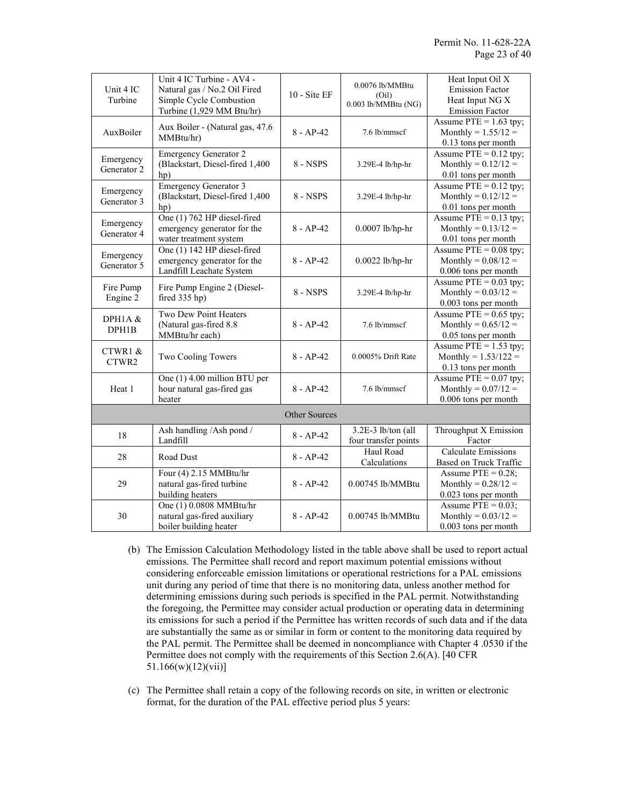| Unit 4 IC<br>Turbine | Unit 4 IC Turbine - AV4 -<br>Natural gas / No.2 Oil Fired<br>Simple Cycle Combustion | $10 - Site EF$ | 0.0076 lb/MMBtu<br>(Oil)<br>0.003 lb/MMBtu (NG) | Heat Input Oil X<br><b>Emission Factor</b><br>Heat Input NG X |
|----------------------|--------------------------------------------------------------------------------------|----------------|-------------------------------------------------|---------------------------------------------------------------|
|                      | Turbine (1,929 MM Btu/hr)                                                            |                |                                                 | <b>Emission Factor</b>                                        |
|                      | Aux Boiler - (Natural gas, 47.6)                                                     |                |                                                 | Assume $PTE = 1.63$ tpy;                                      |
| AuxBoiler            | MMBtu/hr)                                                                            | $8 - AP - 42$  | 7.6 lb/mmscf                                    | Monthly = $1.55/12 =$                                         |
|                      |                                                                                      |                |                                                 | 0.13 tons per month                                           |
| Emergency            | <b>Emergency Generator 2</b>                                                         | 8 - NSPS       | 3.29E-4 lb/hp-hr                                | Assume $PTE = 0.12$ tpy;                                      |
| Generator 2          | (Blackstart, Diesel-fired 1,400                                                      |                |                                                 | Monthly = $0.12/12 =$                                         |
|                      | hp)                                                                                  |                |                                                 | 0.01 tons per month                                           |
| Emergency            | <b>Emergency Generator 3</b>                                                         |                |                                                 | Assume $PTE = 0.12$ tpy;                                      |
| Generator 3          | (Blackstart, Diesel-fired 1,400)                                                     | $8 - NSPS$     | 3.29E-4 lb/hp-hr                                | Monthly = $0.12/12 =$                                         |
|                      | hp)                                                                                  |                |                                                 | 0.01 tons per month                                           |
|                      | One (1) 762 HP diesel-fired                                                          |                |                                                 | Assume $PTE = 0.13$ tpy;                                      |
| Emergency            | emergency generator for the                                                          | $8 - AP - 42$  | 0.0007 lb/hp-hr                                 | Monthly = $0.13/12 =$                                         |
| Generator 4          | water treatment system                                                               |                |                                                 | 0.01 tons per month                                           |
|                      | One (1) 142 HP diesel-fired                                                          |                |                                                 | Assume $PTE = 0.08$ tpy;                                      |
| Emergency            | emergency generator for the                                                          | $8 - AP - 42$  | $0.0022$ lb/hp-hr                               | Monthly = $0.08/12 =$                                         |
| Generator 5          | Landfill Leachate System                                                             |                |                                                 | 0.006 tons per month                                          |
|                      |                                                                                      |                | Assume $PTE = 0.03$ tpy;                        |                                                               |
| Fire Pump            | Fire Pump Engine 2 (Diesel-                                                          | $8 - NSPS$     | 3.29E-4 lb/hp-hr                                | Monthly = $0.03/12 =$                                         |
| Engine 2             | fired 335 hp)                                                                        |                |                                                 | 0.003 tons per month                                          |
|                      | Two Dew Point Heaters                                                                |                | Assume $PTE = 0.65$ tpy;                        |                                                               |
| DPH1A&               | (Natural gas-fired 8.8)                                                              | $8 - AP-42$    | 7.6 lb/mmscf                                    | Monthly = $0.65/12 =$                                         |
| DPH1B                | MMBtu/hr each)                                                                       |                |                                                 | 0.05 tons per month                                           |
|                      | Two Cooling Towers                                                                   | $8 - AP - 42$  | 0.0005% Drift Rate                              | Assume $PTE = 1.53$ tpy;                                      |
| CTWR1 &              |                                                                                      |                |                                                 | Monthly = $1.53/122 =$                                        |
| CTWR2                |                                                                                      |                |                                                 | 0.13 tons per month                                           |
|                      | One (1) 4.00 million BTU per                                                         |                |                                                 | Assume $PTE = 0.07$ tpy;                                      |
| Heat 1               | hour natural gas-fired gas                                                           | $8 - AP - 42$  | 7.6 lb/mmscf                                    | Monthly = $0.07/12 =$                                         |
|                      | heater                                                                               |                |                                                 | 0.006 tons per month                                          |
|                      |                                                                                      |                |                                                 |                                                               |
| <b>Other Sources</b> |                                                                                      |                |                                                 |                                                               |
|                      | Ash handling /Ash pond /                                                             |                | 3.2E-3 lb/ton (all                              | Throughput X Emission                                         |
| 18                   | Landfill                                                                             | $8 - AP - 42$  | four transfer points                            | Factor                                                        |
|                      |                                                                                      |                | Haul Road                                       | <b>Calculate Emissions</b>                                    |
| 28                   | Road Dust                                                                            | $8 - AP - 42$  | Calculations                                    | Based on Truck Traffic                                        |
|                      | Four (4) 2.15 MMBtu/hr                                                               |                | $8 - AP - 42$<br>$0.00745$ lb/MMBtu             | Assume $PTE = 0.28$ ;                                         |
| 29                   | natural gas-fired turbine                                                            |                |                                                 | Monthly = $0.28/12 =$                                         |
|                      | building heaters                                                                     |                |                                                 | 0.023 tons per month                                          |
|                      | One (1) 0.0808 MMBtu/hr                                                              |                | 0.00745 lb/MMBtu                                | Assume $PTE = 0.03$ ;                                         |
| 30                   | natural gas-fired auxiliary                                                          | $8 - AP - 42$  |                                                 | Monthly = $0.03/12 =$                                         |
|                      | boiler building heater                                                               |                |                                                 | $0.003$ tons per month                                        |
|                      |                                                                                      |                |                                                 |                                                               |

- (b) The Emission Calculation Methodology listed in the table above shall be used to report actual emissions. The Permittee shall record and report maximum potential emissions without considering enforceable emission limitations or operational restrictions for a PAL emissions unit during any period of time that there is no monitoring data, unless another method for determining emissions during such periods is specified in the PAL permit. Notwithstanding the foregoing, the Permittee may consider actual production or operating data in determining its emissions for such a period if the Permittee has written records of such data and if the data are substantially the same as or similar in form or content to the monitoring data required by the PAL permit. The Permittee shall be deemed in noncompliance with Chapter 4 .0530 if the Permittee does not comply with the requirements of this Section 2.6(A). [40 CFR 51.166(w)(12)(vii)]
- (c) The Permittee shall retain a copy of the following records on site, in written or electronic format, for the duration of the PAL effective period plus 5 years: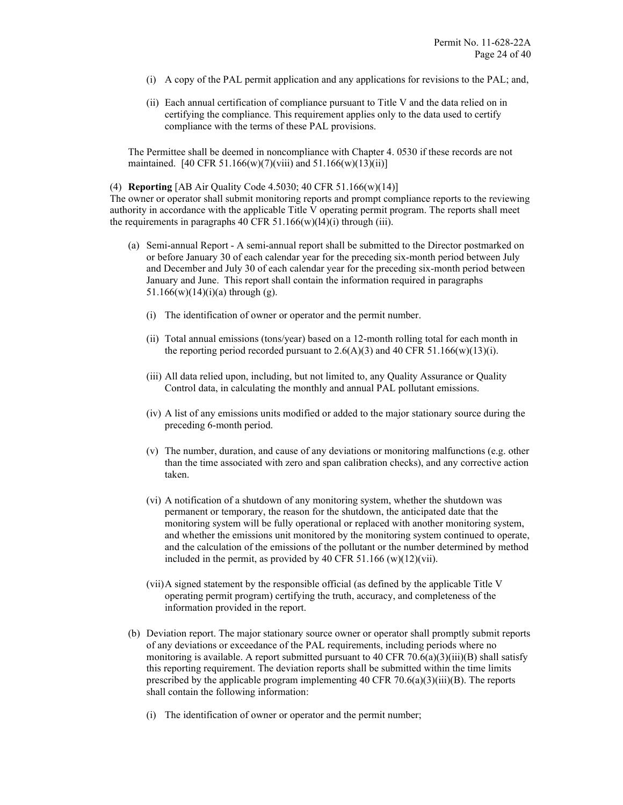- (i) A copy of the PAL permit application and any applications for revisions to the PAL; and,
- (ii) Each annual certification of compliance pursuant to Title V and the data relied on in certifying the compliance. This requirement applies only to the data used to certify compliance with the terms of these PAL provisions.

The Permittee shall be deemed in noncompliance with Chapter 4. 0530 if these records are not maintained. [40 CFR 51.166(w)(7)(viii) and  $51.166(w)(13)(ii)$ ]

(4) **Reporting** [AB Air Quality Code 4.5030; 40 CFR 51.166(w)(14)]

The owner or operator shall submit monitoring reports and prompt compliance reports to the reviewing authority in accordance with the applicable Title V operating permit program. The reports shall meet the requirements in paragraphs 40 CFR  $51.166(w)(14)(i)$  through (iii).

- (a) Semi-annual Report A semi-annual report shall be submitted to the Director postmarked on or before January 30 of each calendar year for the preceding six-month period between July and December and July 30 of each calendar year for the preceding six-month period between January and June. This report shall contain the information required in paragraphs 51.166(w)(14)(i)(a) through (g).
	- (i) The identification of owner or operator and the permit number.
	- (ii) Total annual emissions (tons/year) based on a 12-month rolling total for each month in the reporting period recorded pursuant to  $2.6(A)(3)$  and 40 CFR 51.166(w)(13)(i).
	- (iii) All data relied upon, including, but not limited to, any Quality Assurance or Quality Control data, in calculating the monthly and annual PAL pollutant emissions.
	- (iv) A list of any emissions units modified or added to the major stationary source during the preceding 6-month period.
	- (v) The number, duration, and cause of any deviations or monitoring malfunctions (e.g. other than the time associated with zero and span calibration checks), and any corrective action taken.
	- (vi) A notification of a shutdown of any monitoring system, whether the shutdown was permanent or temporary, the reason for the shutdown, the anticipated date that the monitoring system will be fully operational or replaced with another monitoring system, and whether the emissions unit monitored by the monitoring system continued to operate, and the calculation of the emissions of the pollutant or the number determined by method included in the permit, as provided by 40 CFR 51.166 (w)(12)(vii).
	- (vii)A signed statement by the responsible official (as defined by the applicable Title V operating permit program) certifying the truth, accuracy, and completeness of the information provided in the report.
- (b) Deviation report. The major stationary source owner or operator shall promptly submit reports of any deviations or exceedance of the PAL requirements, including periods where no monitoring is available. A report submitted pursuant to 40 CFR 70.6(a)(3)(iii)(B) shall satisfy this reporting requirement. The deviation reports shall be submitted within the time limits prescribed by the applicable program implementing  $40$  CFR  $70.6(a)(3)(iii)(B)$ . The reports shall contain the following information:
	- (i) The identification of owner or operator and the permit number;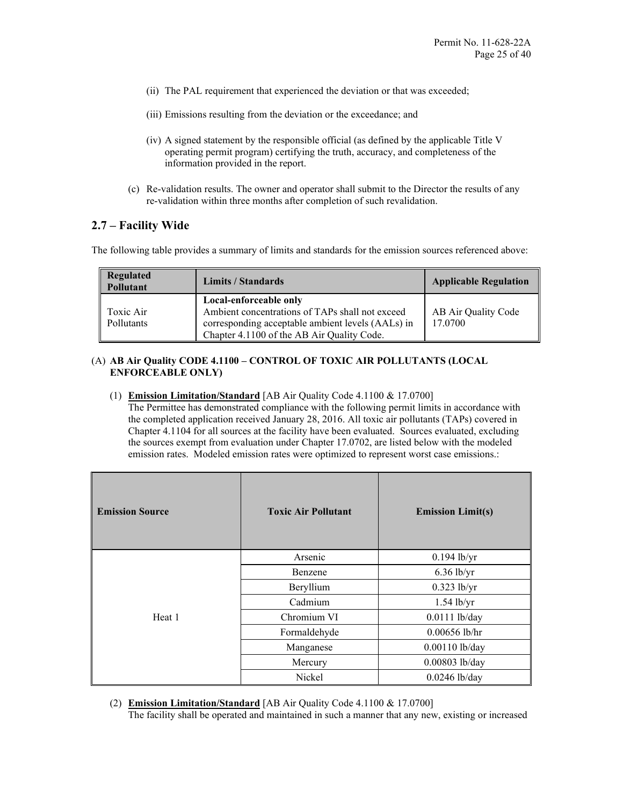- (ii) The PAL requirement that experienced the deviation or that was exceeded;
- (iii) Emissions resulting from the deviation or the exceedance; and
- (iv) A signed statement by the responsible official (as defined by the applicable Title V operating permit program) certifying the truth, accuracy, and completeness of the information provided in the report.
- (c) Re-validation results. The owner and operator shall submit to the Director the results of any re-validation within three months after completion of such revalidation.

### **2.7 – Facility Wide**

The following table provides a summary of limits and standards for the emission sources referenced above:

| <b>Regulated</b><br><b>Pollutant</b> | Limits / Standards                                                                                                                                                           | <b>Applicable Regulation</b>   |
|--------------------------------------|------------------------------------------------------------------------------------------------------------------------------------------------------------------------------|--------------------------------|
| Toxic Air<br>Pollutants              | Local-enforceable only<br>Ambient concentrations of TAPs shall not exceed<br>corresponding acceptable ambient levels (AALs) in<br>Chapter 4.1100 of the AB Air Quality Code. | AB Air Quality Code<br>17.0700 |

### (A) **AB Air Quality CODE 4.1100 – CONTROL OF TOXIC AIR POLLUTANTS (LOCAL ENFORCEABLE ONLY)**

(1) **Emission Limitation/Standard** [AB Air Quality Code 4.1100 & 17.0700]

The Permittee has demonstrated compliance with the following permit limits in accordance with the completed application received January 28, 2016. All toxic air pollutants (TAPs) covered in Chapter 4.1104 for all sources at the facility have been evaluated. Sources evaluated, excluding the sources exempt from evaluation under Chapter 17.0702, are listed below with the modeled emission rates. Modeled emission rates were optimized to represent worst case emissions.:

| <b>Emission Source</b> | <b>Toxic Air Pollutant</b> | <b>Emission Limit(s)</b> |
|------------------------|----------------------------|--------------------------|
|                        | Arsenic                    | $0.194$ lb/yr            |
|                        | Benzene                    | $6.36$ lb/yr             |
|                        | Beryllium                  | $0.323$ lb/yr            |
|                        | Cadmium                    | $1.54$ lb/yr             |
| Heat 1                 | Chromium VI                | $0.0111$ lb/day          |
|                        | Formaldehyde               | $0.00656$ lb/hr          |
|                        | Manganese                  | 0.00110 lb/day           |
|                        | Mercury                    | 0.00803 lb/day           |
|                        | Nickel                     | $0.0246$ lb/day          |

(2) **Emission Limitation/Standard** [AB Air Quality Code 4.1100 & 17.0700]

The facility shall be operated and maintained in such a manner that any new, existing or increased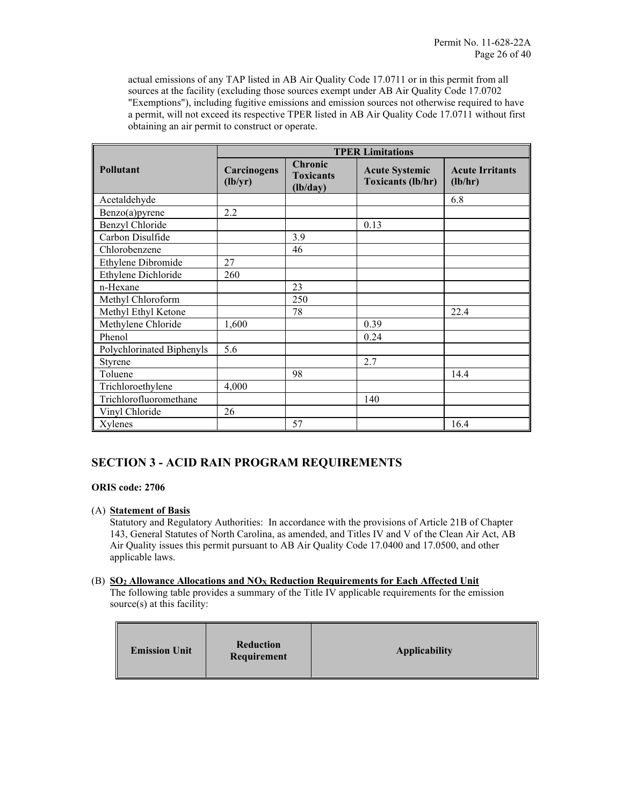actual emissions of any TAP listed in AB Air Quality Code 17.0711 or in this permit from all sources at the facility (excluding those sources exempt under AB Air Quality Code 17.0702 "Exemptions"), including fugitive emissions and emission sources not otherwise required to have a permit, will not exceed its respective TPER listed in AB Air Quality Code 17.0711 without first obtaining an air permit to construct or operate.

|                           | <b>TPER Limitations</b> |                                         |                                                   |                                   |
|---------------------------|-------------------------|-----------------------------------------|---------------------------------------------------|-----------------------------------|
| Pollutant                 | Carcinogens<br>(lb/yr)  | Chronic<br><b>Toxicants</b><br>(lb/day) | <b>Acute Systemic</b><br><b>Toxicants (lb/hr)</b> | <b>Acute Irritants</b><br>(lb/hr) |
| Acetaldehyde              |                         |                                         |                                                   | 6.8                               |
| Benzo(a)pyrene            | 2.2                     |                                         |                                                   |                                   |
| Benzyl Chloride           |                         |                                         | 0.13                                              |                                   |
| Carbon Disulfide          |                         | 3.9                                     |                                                   |                                   |
| Chlorobenzene             |                         | 46                                      |                                                   |                                   |
| Ethylene Dibromide        | 27                      |                                         |                                                   |                                   |
| Ethylene Dichloride       | 260                     |                                         |                                                   |                                   |
| n-Hexane                  |                         | 23                                      |                                                   |                                   |
| Methyl Chloroform         |                         | 250                                     |                                                   |                                   |
| Methyl Ethyl Ketone       |                         | 78                                      |                                                   | 22.4                              |
| Methylene Chloride        | 1,600                   |                                         | 0.39                                              |                                   |
| Phenol                    |                         |                                         | 0.24                                              |                                   |
| Polychlorinated Biphenyls | 5.6                     |                                         |                                                   |                                   |
| Styrene                   |                         |                                         | 2.7                                               |                                   |
| Toluene                   |                         | 98                                      |                                                   | 14.4                              |
| Trichloroethylene         | 4,000                   |                                         |                                                   |                                   |
| Trichlorofluoromethane    |                         |                                         | 140                                               |                                   |
| Vinyl Chloride            | 26                      |                                         |                                                   |                                   |
| Xylenes                   |                         | 57                                      |                                                   | 16.4                              |

### **SECTION 3 - ACID RAIN PROGRAM REQUIREMENTS**

### **ORIS code: 2706**

### (A) **Statement of Basis**

Statutory and Regulatory Authorities: In accordance with the provisions of Article 21B of Chapter 143, General Statutes of North Carolina, as amended, and Titles IV and V of the Clean Air Act, AB Air Quality issues this permit pursuant to AB Air Quality Code 17.0400 and 17.0500, and other applicable laws.

### (B) **SO2 Allowance Allocations and NOX Reduction Requirements for Each Affected Unit**

The following table provides a summary of the Title IV applicable requirements for the emission source(s) at this facility:

| <b>Emission Unit</b> | <b>Reduction</b><br>Requirement | <b>Applicability</b> |
|----------------------|---------------------------------|----------------------|
|----------------------|---------------------------------|----------------------|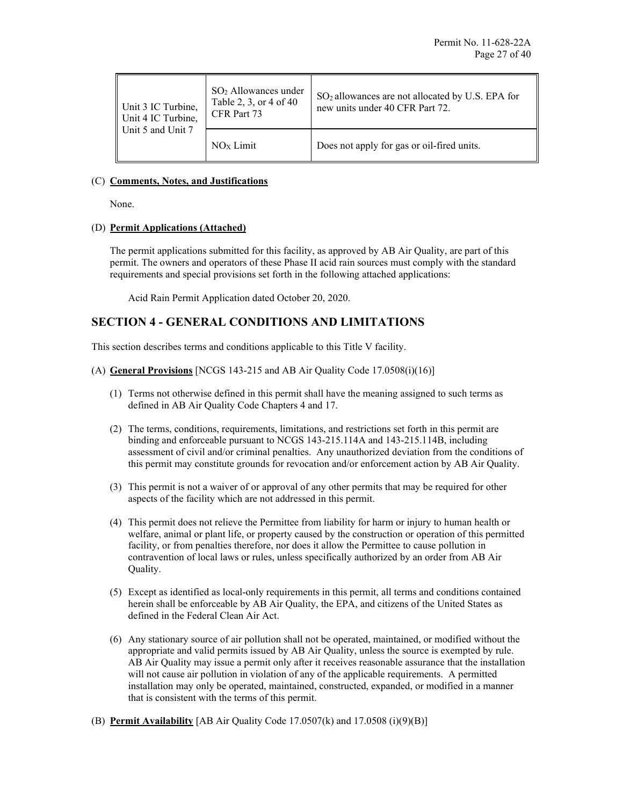| Unit 3 IC Turbine,<br>Unit 4 IC Turbine,<br>Unit 5 and Unit 7 | $SO2$ Allowances under<br>Table 2, 3, or 4 of 40<br>CFR Part 73 | SO <sub>2</sub> allowances are not allocated by U.S. EPA for<br>new units under 40 CFR Part 72. |
|---------------------------------------------------------------|-----------------------------------------------------------------|-------------------------------------------------------------------------------------------------|
|                                                               | NO <sub>x</sub> Limit                                           | Does not apply for gas or oil-fired units.                                                      |

### (C) **Comments, Notes, and Justifications**

None.

### (D) **Permit Applications (Attached)**

The permit applications submitted for this facility, as approved by AB Air Quality, are part of this permit. The owners and operators of these Phase II acid rain sources must comply with the standard requirements and special provisions set forth in the following attached applications:

Acid Rain Permit Application dated October 20, 2020.

### **SECTION 4 - GENERAL CONDITIONS AND LIMITATIONS**

This section describes terms and conditions applicable to this Title V facility.

- (A) **General Provisions** [NCGS 143-215 and AB Air Quality Code 17.0508(i)(16)]
	- (1) Terms not otherwise defined in this permit shall have the meaning assigned to such terms as defined in AB Air Quality Code Chapters 4 and 17.
	- (2) The terms, conditions, requirements, limitations, and restrictions set forth in this permit are binding and enforceable pursuant to NCGS 143-215.114A and 143-215.114B, including assessment of civil and/or criminal penalties. Any unauthorized deviation from the conditions of this permit may constitute grounds for revocation and/or enforcement action by AB Air Quality.
	- (3) This permit is not a waiver of or approval of any other permits that may be required for other aspects of the facility which are not addressed in this permit.
	- (4) This permit does not relieve the Permittee from liability for harm or injury to human health or welfare, animal or plant life, or property caused by the construction or operation of this permitted facility, or from penalties therefore, nor does it allow the Permittee to cause pollution in contravention of local laws or rules, unless specifically authorized by an order from AB Air Quality.
	- (5) Except as identified as local-only requirements in this permit, all terms and conditions contained herein shall be enforceable by AB Air Quality, the EPA, and citizens of the United States as defined in the Federal Clean Air Act.
	- (6) Any stationary source of air pollution shall not be operated, maintained, or modified without the appropriate and valid permits issued by AB Air Quality, unless the source is exempted by rule. AB Air Quality may issue a permit only after it receives reasonable assurance that the installation will not cause air pollution in violation of any of the applicable requirements. A permitted installation may only be operated, maintained, constructed, expanded, or modified in a manner that is consistent with the terms of this permit.
- (B) **Permit Availability** [AB Air Quality Code 17.0507(k) and 17.0508 (i)(9)(B)]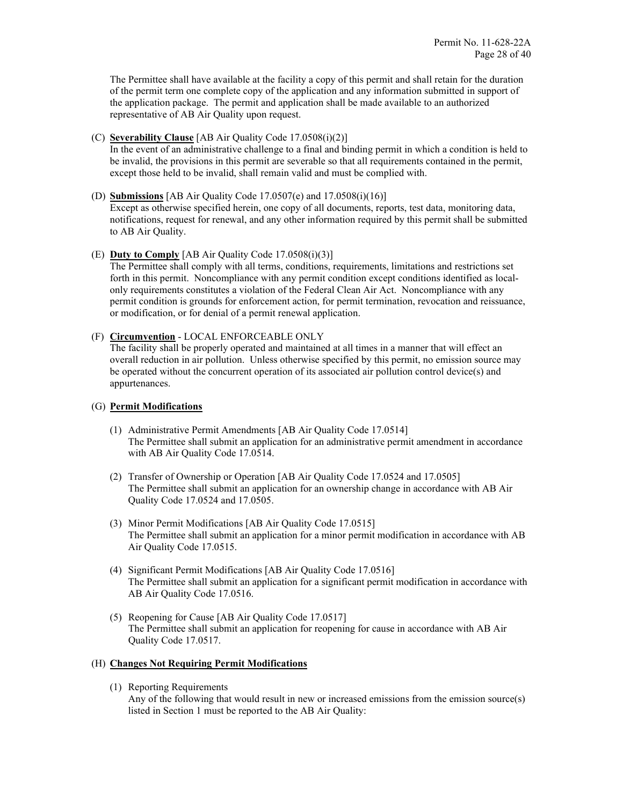The Permittee shall have available at the facility a copy of this permit and shall retain for the duration of the permit term one complete copy of the application and any information submitted in support of the application package. The permit and application shall be made available to an authorized representative of AB Air Quality upon request.

### (C) **Severability Clause** [AB Air Quality Code 17.0508(i)(2)]

In the event of an administrative challenge to a final and binding permit in which a condition is held to be invalid, the provisions in this permit are severable so that all requirements contained in the permit, except those held to be invalid, shall remain valid and must be complied with.

### (D) **Submissions** [AB Air Quality Code 17.0507(e) and 17.0508(i)(16)]

Except as otherwise specified herein, one copy of all documents, reports, test data, monitoring data, notifications, request for renewal, and any other information required by this permit shall be submitted to AB Air Quality.

### (E) **Duty to Comply** [AB Air Quality Code 17.0508(i)(3)]

The Permittee shall comply with all terms, conditions, requirements, limitations and restrictions set forth in this permit. Noncompliance with any permit condition except conditions identified as localonly requirements constitutes a violation of the Federal Clean Air Act. Noncompliance with any permit condition is grounds for enforcement action, for permit termination, revocation and reissuance, or modification, or for denial of a permit renewal application.

### (F) **Circumvention** - LOCAL ENFORCEABLE ONLY

The facility shall be properly operated and maintained at all times in a manner that will effect an overall reduction in air pollution. Unless otherwise specified by this permit, no emission source may be operated without the concurrent operation of its associated air pollution control device(s) and appurtenances.

### (G) **Permit Modifications**

- (1) Administrative Permit Amendments [AB Air Quality Code 17.0514] The Permittee shall submit an application for an administrative permit amendment in accordance with AB Air Quality Code 17.0514.
- (2) Transfer of Ownership or Operation [AB Air Quality Code 17.0524 and 17.0505] The Permittee shall submit an application for an ownership change in accordance with AB Air Quality Code 17.0524 and 17.0505.
- (3) Minor Permit Modifications [AB Air Quality Code 17.0515] The Permittee shall submit an application for a minor permit modification in accordance with AB Air Quality Code 17.0515.
- (4) Significant Permit Modifications [AB Air Quality Code 17.0516] The Permittee shall submit an application for a significant permit modification in accordance with AB Air Quality Code 17.0516.
- (5) Reopening for Cause [AB Air Quality Code 17.0517] The Permittee shall submit an application for reopening for cause in accordance with AB Air Quality Code 17.0517.

### (H) **Changes Not Requiring Permit Modifications**

(1) Reporting Requirements Any of the following that would result in new or increased emissions from the emission source(s) listed in Section 1 must be reported to the AB Air Quality: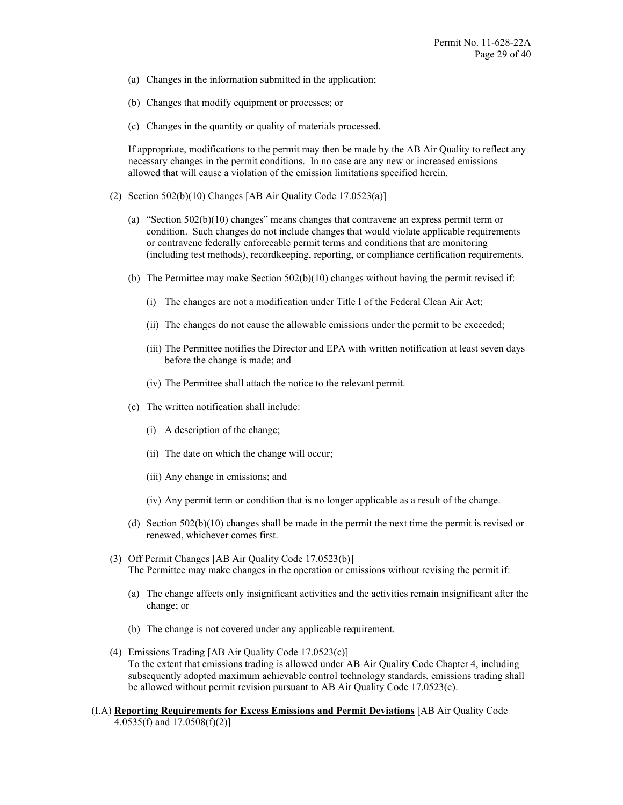- (a) Changes in the information submitted in the application;
- (b) Changes that modify equipment or processes; or
- (c) Changes in the quantity or quality of materials processed.

If appropriate, modifications to the permit may then be made by the AB Air Quality to reflect any necessary changes in the permit conditions. In no case are any new or increased emissions allowed that will cause a violation of the emission limitations specified herein.

- (2) Section 502(b)(10) Changes [AB Air Quality Code 17.0523(a)]
	- (a) "Section 502(b)(10) changes" means changes that contravene an express permit term or condition. Such changes do not include changes that would violate applicable requirements or contravene federally enforceable permit terms and conditions that are monitoring (including test methods), recordkeeping, reporting, or compliance certification requirements.
	- (b) The Permittee may make Section 502(b)(10) changes without having the permit revised if:
		- (i) The changes are not a modification under Title I of the Federal Clean Air Act;
		- (ii) The changes do not cause the allowable emissions under the permit to be exceeded;
		- (iii) The Permittee notifies the Director and EPA with written notification at least seven days before the change is made; and
		- (iv) The Permittee shall attach the notice to the relevant permit.
	- (c) The written notification shall include:
		- (i) A description of the change;
		- (ii) The date on which the change will occur;
		- (iii) Any change in emissions; and
		- (iv) Any permit term or condition that is no longer applicable as a result of the change.
	- (d) Section  $502(b)(10)$  changes shall be made in the permit the next time the permit is revised or renewed, whichever comes first.
- (3) Off Permit Changes [AB Air Quality Code 17.0523(b)] The Permittee may make changes in the operation or emissions without revising the permit if:
	- (a) The change affects only insignificant activities and the activities remain insignificant after the change; or
	- (b) The change is not covered under any applicable requirement.
- (4) Emissions Trading [AB Air Quality Code 17.0523(c)] To the extent that emissions trading is allowed under AB Air Quality Code Chapter 4, including subsequently adopted maximum achievable control technology standards, emissions trading shall be allowed without permit revision pursuant to AB Air Quality Code 17.0523(c).
- (I.A) **Reporting Requirements for Excess Emissions and Permit Deviations** [AB Air Quality Code 4.0535(f) and 17.0508(f)(2)]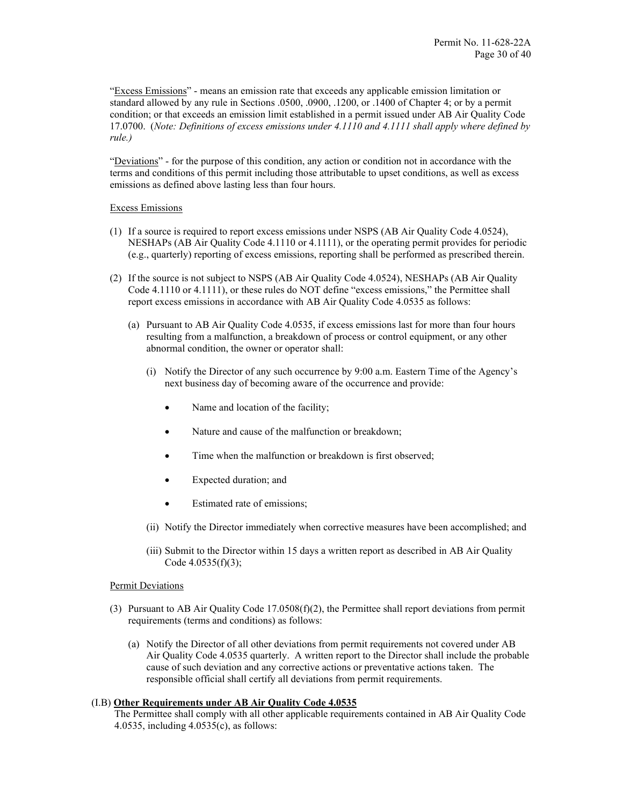"Excess Emissions" - means an emission rate that exceeds any applicable emission limitation or standard allowed by any rule in Sections .0500, .0900, .1200, or .1400 of Chapter 4; or by a permit condition; or that exceeds an emission limit established in a permit issued under AB Air Quality Code 17.0700. (*Note: Definitions of excess emissions under 4.1110 and 4.1111 shall apply where defined by rule.)*

"Deviations" - for the purpose of this condition, any action or condition not in accordance with the terms and conditions of this permit including those attributable to upset conditions, as well as excess emissions as defined above lasting less than four hours.

### Excess Emissions

- (1) If a source is required to report excess emissions under NSPS (AB Air Quality Code 4.0524), NESHAPs (AB Air Quality Code 4.1110 or 4.1111), or the operating permit provides for periodic (e.g., quarterly) reporting of excess emissions, reporting shall be performed as prescribed therein.
- (2) If the source is not subject to NSPS (AB Air Quality Code 4.0524), NESHAPs (AB Air Quality Code 4.1110 or 4.1111), or these rules do NOT define "excess emissions," the Permittee shall report excess emissions in accordance with AB Air Quality Code 4.0535 as follows:
	- (a) Pursuant to AB Air Quality Code 4.0535, if excess emissions last for more than four hours resulting from a malfunction, a breakdown of process or control equipment, or any other abnormal condition, the owner or operator shall:
		- (i) Notify the Director of any such occurrence by 9:00 a.m. Eastern Time of the Agency's next business day of becoming aware of the occurrence and provide:
			- Name and location of the facility;
			- Nature and cause of the malfunction or breakdown;
			- Time when the malfunction or breakdown is first observed:
			- Expected duration; and
			- Estimated rate of emissions;
		- (ii) Notify the Director immediately when corrective measures have been accomplished; and
		- (iii) Submit to the Director within 15 days a written report as described in AB Air Quality Code 4.0535(f)(3);

### Permit Deviations

- (3) Pursuant to AB Air Quality Code 17.0508(f)(2), the Permittee shall report deviations from permit requirements (terms and conditions) as follows:
	- (a) Notify the Director of all other deviations from permit requirements not covered under AB Air Quality Code 4.0535 quarterly. A written report to the Director shall include the probable cause of such deviation and any corrective actions or preventative actions taken. The responsible official shall certify all deviations from permit requirements.

### (I.B) **Other Requirements under AB Air Quality Code 4.0535**

The Permittee shall comply with all other applicable requirements contained in AB Air Quality Code 4.0535, including 4.0535(c), as follows: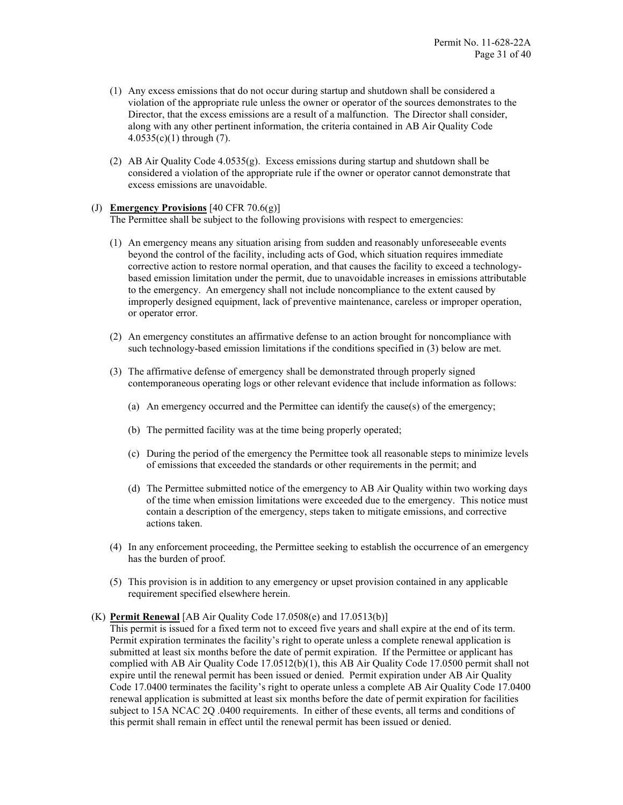- (1) Any excess emissions that do not occur during startup and shutdown shall be considered a violation of the appropriate rule unless the owner or operator of the sources demonstrates to the Director, that the excess emissions are a result of a malfunction. The Director shall consider, along with any other pertinent information, the criteria contained in AB Air Quality Code 4.0535(c)(1) through (7).
- (2) AB Air Quality Code 4.0535(g). Excess emissions during startup and shutdown shall be considered a violation of the appropriate rule if the owner or operator cannot demonstrate that excess emissions are unavoidable.

#### (J) **Emergency Provisions** [40 CFR 70.6(g)]

The Permittee shall be subject to the following provisions with respect to emergencies:

- (1) An emergency means any situation arising from sudden and reasonably unforeseeable events beyond the control of the facility, including acts of God, which situation requires immediate corrective action to restore normal operation, and that causes the facility to exceed a technologybased emission limitation under the permit, due to unavoidable increases in emissions attributable to the emergency. An emergency shall not include noncompliance to the extent caused by improperly designed equipment, lack of preventive maintenance, careless or improper operation, or operator error.
- (2) An emergency constitutes an affirmative defense to an action brought for noncompliance with such technology-based emission limitations if the conditions specified in (3) below are met.
- (3) The affirmative defense of emergency shall be demonstrated through properly signed contemporaneous operating logs or other relevant evidence that include information as follows:
	- (a) An emergency occurred and the Permittee can identify the cause(s) of the emergency;
	- (b) The permitted facility was at the time being properly operated;
	- (c) During the period of the emergency the Permittee took all reasonable steps to minimize levels of emissions that exceeded the standards or other requirements in the permit; and
	- (d) The Permittee submitted notice of the emergency to AB Air Quality within two working days of the time when emission limitations were exceeded due to the emergency. This notice must contain a description of the emergency, steps taken to mitigate emissions, and corrective actions taken.
- (4) In any enforcement proceeding, the Permittee seeking to establish the occurrence of an emergency has the burden of proof.
- (5) This provision is in addition to any emergency or upset provision contained in any applicable requirement specified elsewhere herein.

#### (K) **Permit Renewal** [AB Air Quality Code 17.0508(e) and 17.0513(b)]

This permit is issued for a fixed term not to exceed five years and shall expire at the end of its term. Permit expiration terminates the facility's right to operate unless a complete renewal application is submitted at least six months before the date of permit expiration. If the Permittee or applicant has complied with AB Air Quality Code 17.0512(b)(1), this AB Air Quality Code 17.0500 permit shall not expire until the renewal permit has been issued or denied. Permit expiration under AB Air Quality Code 17.0400 terminates the facility's right to operate unless a complete AB Air Quality Code 17.0400 renewal application is submitted at least six months before the date of permit expiration for facilities subject to 15A NCAC 2Q .0400 requirements. In either of these events, all terms and conditions of this permit shall remain in effect until the renewal permit has been issued or denied.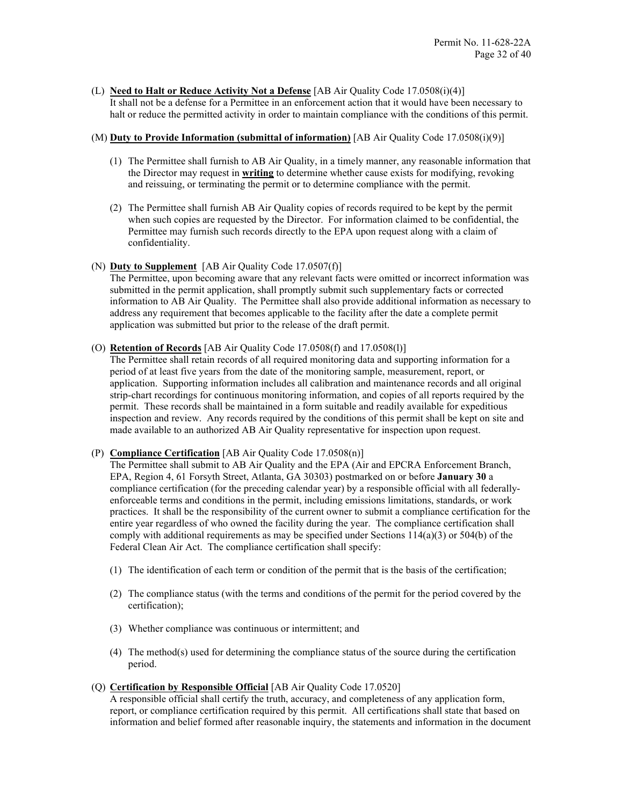(L) **Need to Halt or Reduce Activity Not a Defense** [AB Air Quality Code 17.0508(i)(4)] It shall not be a defense for a Permittee in an enforcement action that it would have been necessary to halt or reduce the permitted activity in order to maintain compliance with the conditions of this permit.

### (M) **Duty to Provide Information (submittal of information)** [AB Air Quality Code 17.0508(i)(9)]

- (1) The Permittee shall furnish to AB Air Quality, in a timely manner, any reasonable information that the Director may request in **writing** to determine whether cause exists for modifying, revoking and reissuing, or terminating the permit or to determine compliance with the permit.
- (2) The Permittee shall furnish AB Air Quality copies of records required to be kept by the permit when such copies are requested by the Director. For information claimed to be confidential, the Permittee may furnish such records directly to the EPA upon request along with a claim of confidentiality.
- (N) **Duty to Supplement** [AB Air Quality Code 17.0507(f)]

The Permittee, upon becoming aware that any relevant facts were omitted or incorrect information was submitted in the permit application, shall promptly submit such supplementary facts or corrected information to AB Air Quality. The Permittee shall also provide additional information as necessary to address any requirement that becomes applicable to the facility after the date a complete permit application was submitted but prior to the release of the draft permit.

(O) **Retention of Records** [AB Air Quality Code 17.0508(f) and 17.0508(l)]

The Permittee shall retain records of all required monitoring data and supporting information for a period of at least five years from the date of the monitoring sample, measurement, report, or application. Supporting information includes all calibration and maintenance records and all original strip-chart recordings for continuous monitoring information, and copies of all reports required by the permit. These records shall be maintained in a form suitable and readily available for expeditious inspection and review. Any records required by the conditions of this permit shall be kept on site and made available to an authorized AB Air Quality representative for inspection upon request.

(P) **Compliance Certification** [AB Air Quality Code 17.0508(n)]

The Permittee shall submit to AB Air Quality and the EPA (Air and EPCRA Enforcement Branch, EPA, Region 4, 61 Forsyth Street, Atlanta, GA 30303) postmarked on or before **January 30** a compliance certification (for the preceding calendar year) by a responsible official with all federallyenforceable terms and conditions in the permit, including emissions limitations, standards, or work practices. It shall be the responsibility of the current owner to submit a compliance certification for the entire year regardless of who owned the facility during the year. The compliance certification shall comply with additional requirements as may be specified under Sections  $114(a)(3)$  or  $504(b)$  of the Federal Clean Air Act. The compliance certification shall specify:

- (1) The identification of each term or condition of the permit that is the basis of the certification;
- (2) The compliance status (with the terms and conditions of the permit for the period covered by the certification);
- (3) Whether compliance was continuous or intermittent; and
- (4) The method(s) used for determining the compliance status of the source during the certification period.
- (Q) **Certification by Responsible Official** [AB Air Quality Code 17.0520]

A responsible official shall certify the truth, accuracy, and completeness of any application form, report, or compliance certification required by this permit. All certifications shall state that based on information and belief formed after reasonable inquiry, the statements and information in the document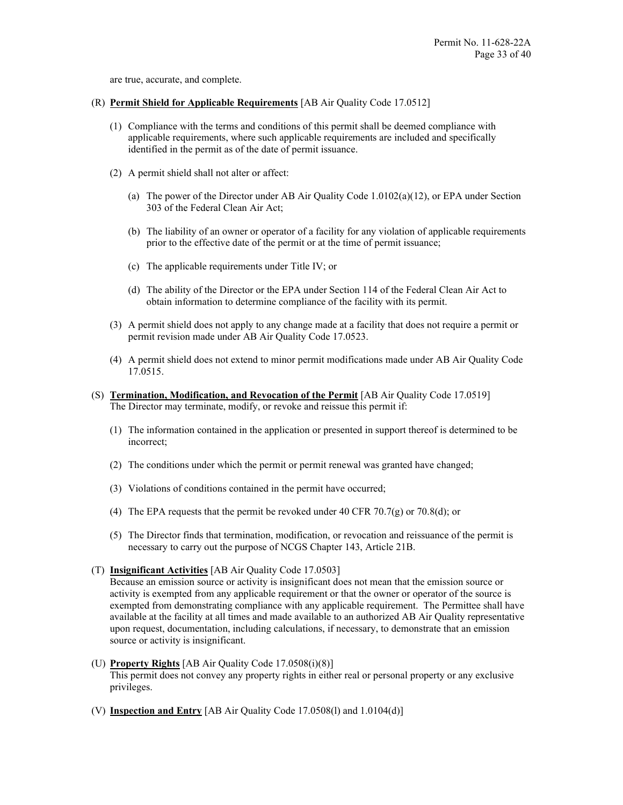are true, accurate, and complete.

- (R) **Permit Shield for Applicable Requirements** [AB Air Quality Code 17.0512]
	- (1) Compliance with the terms and conditions of this permit shall be deemed compliance with applicable requirements, where such applicable requirements are included and specifically identified in the permit as of the date of permit issuance.
	- (2) A permit shield shall not alter or affect:
		- (a) The power of the Director under AB Air Quality Code 1.0102(a)(12), or EPA under Section 303 of the Federal Clean Air Act;
		- (b) The liability of an owner or operator of a facility for any violation of applicable requirements prior to the effective date of the permit or at the time of permit issuance;
		- (c) The applicable requirements under Title IV; or
		- (d) The ability of the Director or the EPA under Section 114 of the Federal Clean Air Act to obtain information to determine compliance of the facility with its permit.
	- (3) A permit shield does not apply to any change made at a facility that does not require a permit or permit revision made under AB Air Quality Code 17.0523.
	- (4) A permit shield does not extend to minor permit modifications made under AB Air Quality Code 17.0515.
- (S) **Termination, Modification, and Revocation of the Permit** [AB Air Quality Code 17.0519] The Director may terminate, modify, or revoke and reissue this permit if:
	- (1) The information contained in the application or presented in support thereof is determined to be incorrect;
	- (2) The conditions under which the permit or permit renewal was granted have changed;
	- (3) Violations of conditions contained in the permit have occurred;
	- (4) The EPA requests that the permit be revoked under 40 CFR 70.7(g) or 70.8(d); or
	- (5) The Director finds that termination, modification, or revocation and reissuance of the permit is necessary to carry out the purpose of NCGS Chapter 143, Article 21B.
- (T) **Insignificant Activities** [AB Air Quality Code 17.0503]

Because an emission source or activity is insignificant does not mean that the emission source or activity is exempted from any applicable requirement or that the owner or operator of the source is exempted from demonstrating compliance with any applicable requirement. The Permittee shall have available at the facility at all times and made available to an authorized AB Air Quality representative upon request, documentation, including calculations, if necessary, to demonstrate that an emission source or activity is insignificant.

- (U) **Property Rights** [AB Air Quality Code 17.0508(i)(8)] This permit does not convey any property rights in either real or personal property or any exclusive privileges.
- (V) **Inspection and Entry** [AB Air Quality Code 17.0508(l) and 1.0104(d)]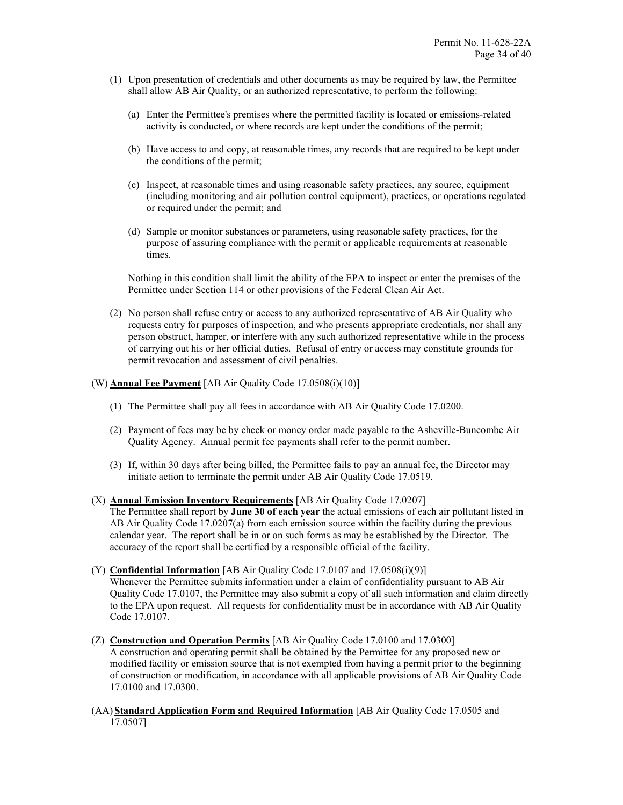- (1) Upon presentation of credentials and other documents as may be required by law, the Permittee shall allow AB Air Quality, or an authorized representative, to perform the following:
	- (a) Enter the Permittee's premises where the permitted facility is located or emissions-related activity is conducted, or where records are kept under the conditions of the permit;
	- (b) Have access to and copy, at reasonable times, any records that are required to be kept under the conditions of the permit;
	- (c) Inspect, at reasonable times and using reasonable safety practices, any source, equipment (including monitoring and air pollution control equipment), practices, or operations regulated or required under the permit; and
	- (d) Sample or monitor substances or parameters, using reasonable safety practices, for the purpose of assuring compliance with the permit or applicable requirements at reasonable times.

Nothing in this condition shall limit the ability of the EPA to inspect or enter the premises of the Permittee under Section 114 or other provisions of the Federal Clean Air Act.

(2) No person shall refuse entry or access to any authorized representative of AB Air Quality who requests entry for purposes of inspection, and who presents appropriate credentials, nor shall any person obstruct, hamper, or interfere with any such authorized representative while in the process of carrying out his or her official duties. Refusal of entry or access may constitute grounds for permit revocation and assessment of civil penalties.

### (W) **Annual Fee Payment** [AB Air Quality Code 17.0508(i)(10)]

- (1) The Permittee shall pay all fees in accordance with AB Air Quality Code 17.0200.
- (2) Payment of fees may be by check or money order made payable to the Asheville-Buncombe Air Quality Agency. Annual permit fee payments shall refer to the permit number.
- (3) If, within 30 days after being billed, the Permittee fails to pay an annual fee, the Director may initiate action to terminate the permit under AB Air Quality Code 17.0519.

#### (X) **Annual Emission Inventory Requirements** [AB Air Quality Code 17.0207]

The Permittee shall report by **June 30 of each year** the actual emissions of each air pollutant listed in AB Air Quality Code 17.0207(a) from each emission source within the facility during the previous calendar year. The report shall be in or on such forms as may be established by the Director. The accuracy of the report shall be certified by a responsible official of the facility.

#### (Y) **Confidential Information** [AB Air Quality Code 17.0107 and 17.0508(i)(9)]

Whenever the Permittee submits information under a claim of confidentiality pursuant to AB Air Quality Code 17.0107, the Permittee may also submit a copy of all such information and claim directly to the EPA upon request. All requests for confidentiality must be in accordance with AB Air Quality Code 17.0107.

(Z) **Construction and Operation Permits** [AB Air Quality Code 17.0100 and 17.0300]

A construction and operating permit shall be obtained by the Permittee for any proposed new or modified facility or emission source that is not exempted from having a permit prior to the beginning of construction or modification, in accordance with all applicable provisions of AB Air Quality Code 17.0100 and 17.0300.

(AA) **Standard Application Form and Required Information** [AB Air Quality Code 17.0505 and 17.0507]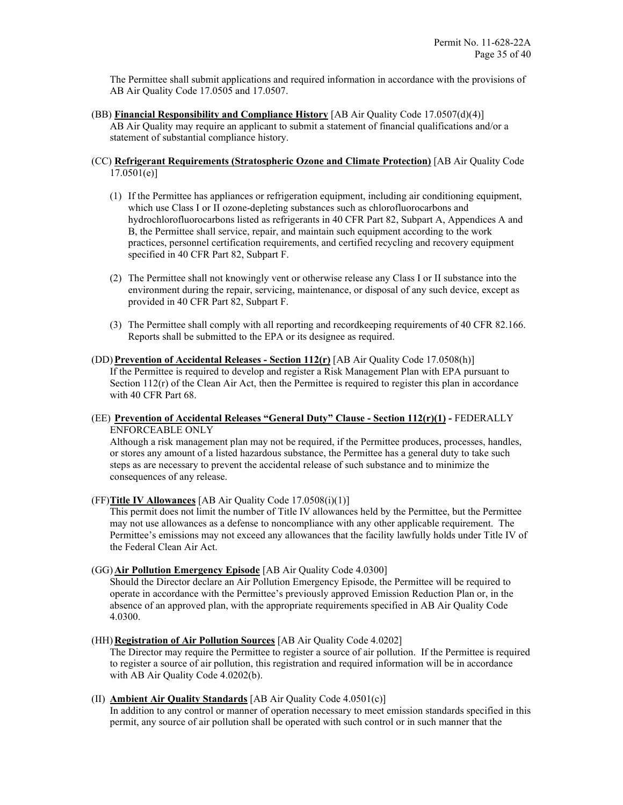The Permittee shall submit applications and required information in accordance with the provisions of AB Air Quality Code 17.0505 and 17.0507.

(BB) **Financial Responsibility and Compliance History** [AB Air Quality Code 17.0507(d)(4)] AB Air Quality may require an applicant to submit a statement of financial qualifications and/or a statement of substantial compliance history.

### (CC) **Refrigerant Requirements (Stratospheric Ozone and Climate Protection)** [AB Air Quality Code 17.0501(e)]

- (1) If the Permittee has appliances or refrigeration equipment, including air conditioning equipment, which use Class I or II ozone-depleting substances such as chlorofluorocarbons and hydrochlorofluorocarbons listed as refrigerants in 40 CFR Part 82, Subpart A, Appendices A and B, the Permittee shall service, repair, and maintain such equipment according to the work practices, personnel certification requirements, and certified recycling and recovery equipment specified in 40 CFR Part 82, Subpart F.
- (2) The Permittee shall not knowingly vent or otherwise release any Class I or II substance into the environment during the repair, servicing, maintenance, or disposal of any such device, except as provided in 40 CFR Part 82, Subpart F.
- (3) The Permittee shall comply with all reporting and recordkeeping requirements of 40 CFR 82.166. Reports shall be submitted to the EPA or its designee as required.

### (DD)**Prevention of Accidental Releases - Section 112(r)** [AB Air Quality Code 17.0508(h)] If the Permittee is required to develop and register a Risk Management Plan with EPA pursuant to Section  $112(r)$  of the Clean Air Act, then the Permittee is required to register this plan in accordance with 40 CFR Part 68.

(EE) **Prevention of Accidental Releases "General Duty" Clause - Section 112(r)(1) -** FEDERALLY ENFORCEABLE ONLY

Although a risk management plan may not be required, if the Permittee produces, processes, handles, or stores any amount of a listed hazardous substance, the Permittee has a general duty to take such steps as are necessary to prevent the accidental release of such substance and to minimize the consequences of any release.

(FF)**Title IV Allowances** [AB Air Quality Code 17.0508(i)(1)]

This permit does not limit the number of Title IV allowances held by the Permittee, but the Permittee may not use allowances as a defense to noncompliance with any other applicable requirement. The Permittee's emissions may not exceed any allowances that the facility lawfully holds under Title IV of the Federal Clean Air Act.

### (GG) **Air Pollution Emergency Episode** [AB Air Quality Code 4.0300]

Should the Director declare an Air Pollution Emergency Episode, the Permittee will be required to operate in accordance with the Permittee's previously approved Emission Reduction Plan or, in the absence of an approved plan, with the appropriate requirements specified in AB Air Quality Code 4.0300.

### (HH) **Registration of Air Pollution Sources** [AB Air Quality Code 4.0202]

The Director may require the Permittee to register a source of air pollution. If the Permittee is required to register a source of air pollution, this registration and required information will be in accordance with AB Air Quality Code 4.0202(b).

### (II) **Ambient Air Quality Standards** [AB Air Quality Code 4.0501(c)]

In addition to any control or manner of operation necessary to meet emission standards specified in this permit, any source of air pollution shall be operated with such control or in such manner that the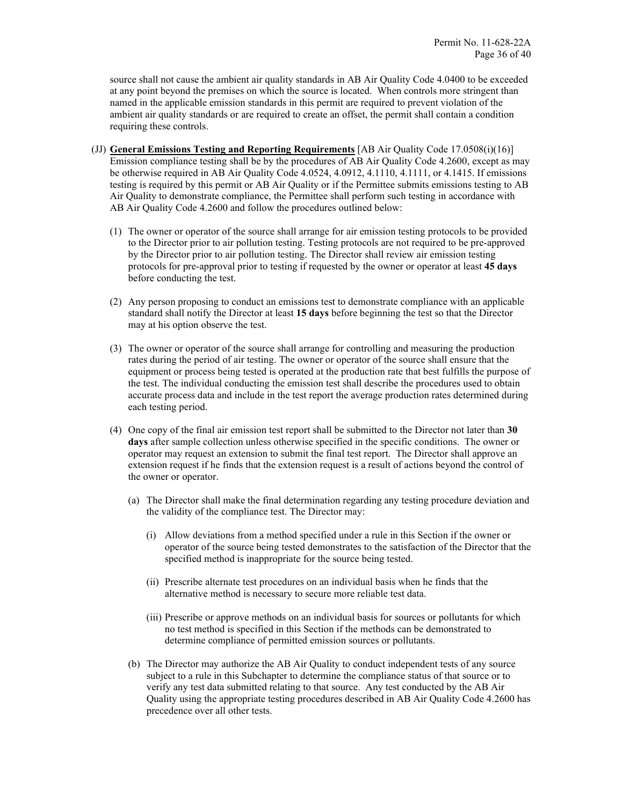source shall not cause the ambient air quality standards in AB Air Quality Code 4.0400 to be exceeded at any point beyond the premises on which the source is located. When controls more stringent than named in the applicable emission standards in this permit are required to prevent violation of the ambient air quality standards or are required to create an offset, the permit shall contain a condition requiring these controls.

- (JJ) **General Emissions Testing and Reporting Requirements** [AB Air Quality Code 17.0508(i)(16)] Emission compliance testing shall be by the procedures of AB Air Quality Code 4.2600, except as may be otherwise required in AB Air Quality Code 4.0524, 4.0912, 4.1110, 4.1111, or 4.1415. If emissions testing is required by this permit or AB Air Quality or if the Permittee submits emissions testing to AB Air Quality to demonstrate compliance, the Permittee shall perform such testing in accordance with AB Air Quality Code 4.2600 and follow the procedures outlined below:
	- (1) The owner or operator of the source shall arrange for air emission testing protocols to be provided to the Director prior to air pollution testing. Testing protocols are not required to be pre-approved by the Director prior to air pollution testing. The Director shall review air emission testing protocols for pre-approval prior to testing if requested by the owner or operator at least **45 days**  before conducting the test.
	- (2) Any person proposing to conduct an emissions test to demonstrate compliance with an applicable standard shall notify the Director at least **15 days** before beginning the test so that the Director may at his option observe the test.
	- (3) The owner or operator of the source shall arrange for controlling and measuring the production rates during the period of air testing. The owner or operator of the source shall ensure that the equipment or process being tested is operated at the production rate that best fulfills the purpose of the test. The individual conducting the emission test shall describe the procedures used to obtain accurate process data and include in the test report the average production rates determined during each testing period.
	- (4) One copy of the final air emission test report shall be submitted to the Director not later than **30 days** after sample collection unless otherwise specified in the specific conditions. The owner or operator may request an extension to submit the final test report. The Director shall approve an extension request if he finds that the extension request is a result of actions beyond the control of the owner or operator.
		- (a) The Director shall make the final determination regarding any testing procedure deviation and the validity of the compliance test. The Director may:
			- (i) Allow deviations from a method specified under a rule in this Section if the owner or operator of the source being tested demonstrates to the satisfaction of the Director that the specified method is inappropriate for the source being tested.
			- (ii) Prescribe alternate test procedures on an individual basis when he finds that the alternative method is necessary to secure more reliable test data.
			- (iii) Prescribe or approve methods on an individual basis for sources or pollutants for which no test method is specified in this Section if the methods can be demonstrated to determine compliance of permitted emission sources or pollutants.
		- (b) The Director may authorize the AB Air Quality to conduct independent tests of any source subject to a rule in this Subchapter to determine the compliance status of that source or to verify any test data submitted relating to that source. Any test conducted by the AB Air Quality using the appropriate testing procedures described in AB Air Quality Code 4.2600 has precedence over all other tests.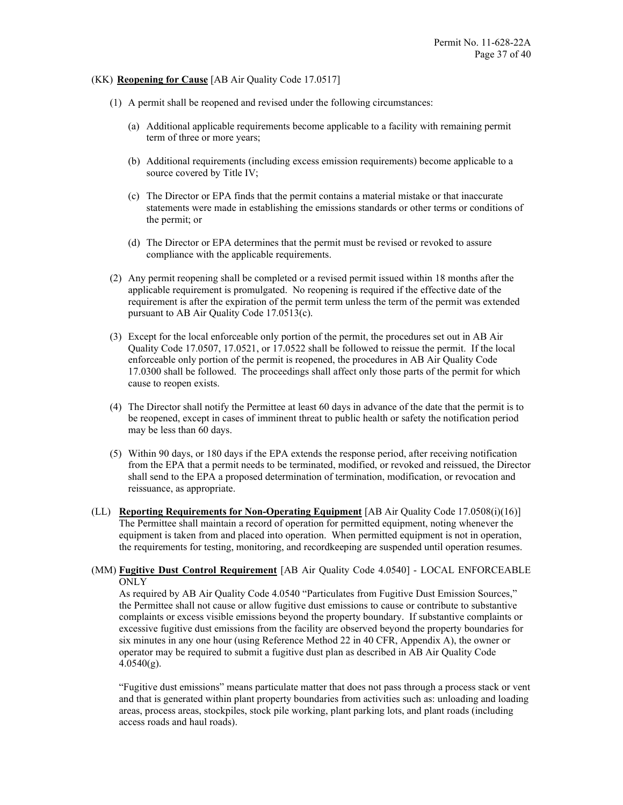### (KK) **Reopening for Cause** [AB Air Quality Code 17.0517]

- (1) A permit shall be reopened and revised under the following circumstances:
	- (a) Additional applicable requirements become applicable to a facility with remaining permit term of three or more years;
	- (b) Additional requirements (including excess emission requirements) become applicable to a source covered by Title IV;
	- (c) The Director or EPA finds that the permit contains a material mistake or that inaccurate statements were made in establishing the emissions standards or other terms or conditions of the permit; or
	- (d) The Director or EPA determines that the permit must be revised or revoked to assure compliance with the applicable requirements.
- (2) Any permit reopening shall be completed or a revised permit issued within 18 months after the applicable requirement is promulgated. No reopening is required if the effective date of the requirement is after the expiration of the permit term unless the term of the permit was extended pursuant to AB Air Quality Code 17.0513(c).
- (3) Except for the local enforceable only portion of the permit, the procedures set out in AB Air Quality Code 17.0507, 17.0521, or 17.0522 shall be followed to reissue the permit. If the local enforceable only portion of the permit is reopened, the procedures in AB Air Quality Code 17.0300 shall be followed. The proceedings shall affect only those parts of the permit for which cause to reopen exists.
- (4) The Director shall notify the Permittee at least 60 days in advance of the date that the permit is to be reopened, except in cases of imminent threat to public health or safety the notification period may be less than 60 days.
- (5) Within 90 days, or 180 days if the EPA extends the response period, after receiving notification from the EPA that a permit needs to be terminated, modified, or revoked and reissued, the Director shall send to the EPA a proposed determination of termination, modification, or revocation and reissuance, as appropriate.
- (LL) **Reporting Requirements for Non-Operating Equipment** [AB Air Quality Code 17.0508(i)(16)] The Permittee shall maintain a record of operation for permitted equipment, noting whenever the equipment is taken from and placed into operation. When permitted equipment is not in operation, the requirements for testing, monitoring, and recordkeeping are suspended until operation resumes.
- (MM) **Fugitive Dust Control Requirement** [AB Air Quality Code 4.0540] LOCAL ENFORCEABLE ONLY

As required by AB Air Quality Code 4.0540 "Particulates from Fugitive Dust Emission Sources," the Permittee shall not cause or allow fugitive dust emissions to cause or contribute to substantive complaints or excess visible emissions beyond the property boundary. If substantive complaints or excessive fugitive dust emissions from the facility are observed beyond the property boundaries for six minutes in any one hour (using Reference Method 22 in 40 CFR, Appendix A), the owner or operator may be required to submit a fugitive dust plan as described in AB Air Quality Code  $4.0540(g)$ .

"Fugitive dust emissions" means particulate matter that does not pass through a process stack or vent and that is generated within plant property boundaries from activities such as: unloading and loading areas, process areas, stockpiles, stock pile working, plant parking lots, and plant roads (including access roads and haul roads).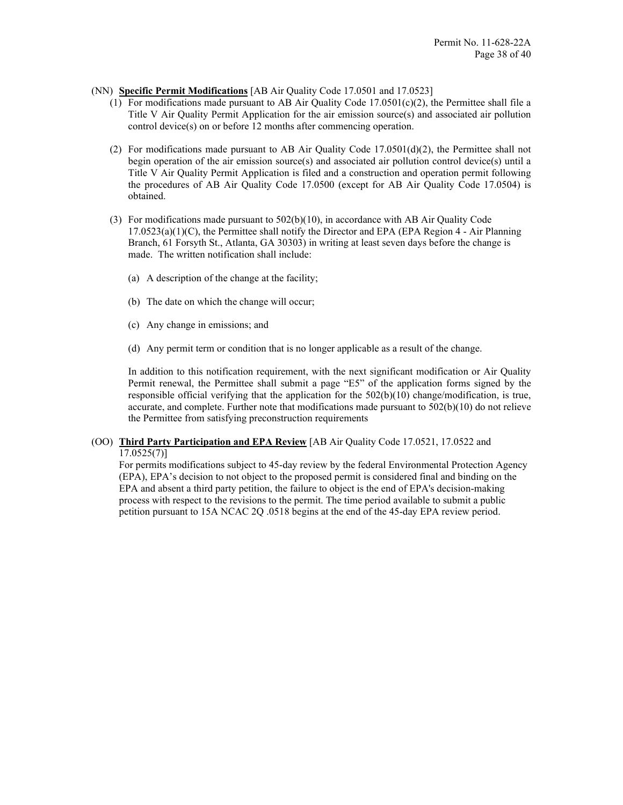- (NN) **Specific Permit Modifications** [AB Air Quality Code 17.0501 and 17.0523]
	- (1) For modifications made pursuant to AB Air Quality Code  $17.0501(c)(2)$ , the Permittee shall file a Title V Air Quality Permit Application for the air emission source(s) and associated air pollution control device(s) on or before 12 months after commencing operation.
	- (2) For modifications made pursuant to AB Air Quality Code  $17.0501(d)(2)$ , the Permittee shall not begin operation of the air emission source(s) and associated air pollution control device(s) until a Title V Air Quality Permit Application is filed and a construction and operation permit following the procedures of AB Air Quality Code 17.0500 (except for AB Air Quality Code 17.0504) is obtained.
	- (3) For modifications made pursuant to 502(b)(10), in accordance with AB Air Quality Code  $17.0523(a)(1)(C)$ , the Permittee shall notify the Director and EPA (EPA Region 4 - Air Planning Branch, 61 Forsyth St., Atlanta, GA 30303) in writing at least seven days before the change is made. The written notification shall include:
		- (a) A description of the change at the facility;
		- (b) The date on which the change will occur;
		- (c) Any change in emissions; and
		- (d) Any permit term or condition that is no longer applicable as a result of the change.

In addition to this notification requirement, with the next significant modification or Air Quality Permit renewal, the Permittee shall submit a page "E5" of the application forms signed by the responsible official verifying that the application for the 502(b)(10) change/modification, is true, accurate, and complete. Further note that modifications made pursuant to  $502(b)(10)$  do not relieve the Permittee from satisfying preconstruction requirements

### (OO) **Third Party Participation and EPA Review** [AB Air Quality Code 17.0521, 17.0522 and 17.0525(7)]

For permits modifications subject to 45-day review by the federal Environmental Protection Agency (EPA), EPA's decision to not object to the proposed permit is considered final and binding on the EPA and absent a third party petition, the failure to object is the end of EPA's decision-making process with respect to the revisions to the permit. The time period available to submit a public petition pursuant to 15A NCAC 2Q .0518 begins at the end of the 45-day EPA review period.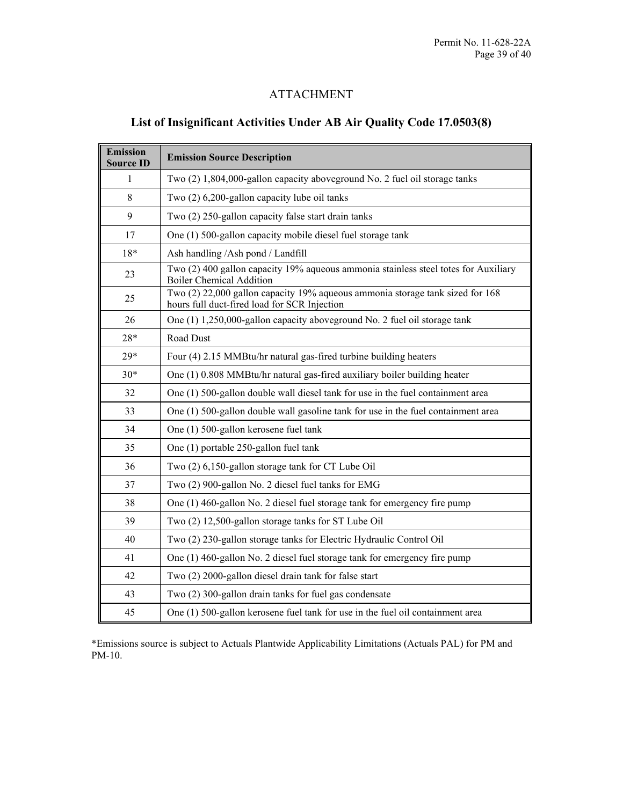### ATTACHMENT

### **List of Insignificant Activities Under AB Air Quality Code 17.0503(8)**

| <b>Emission</b><br><b>Source ID</b> | <b>Emission Source Description</b>                                                                                            |
|-------------------------------------|-------------------------------------------------------------------------------------------------------------------------------|
| 1                                   | Two (2) 1,804,000-gallon capacity aboveground No. 2 fuel oil storage tanks                                                    |
| 8                                   | Two (2) 6,200-gallon capacity lube oil tanks                                                                                  |
| 9                                   | Two (2) 250-gallon capacity false start drain tanks                                                                           |
| 17                                  | One (1) 500-gallon capacity mobile diesel fuel storage tank                                                                   |
| $18*$                               | Ash handling /Ash pond / Landfill                                                                                             |
| 23                                  | Two (2) 400 gallon capacity 19% aqueous ammonia stainless steel totes for Auxiliary<br><b>Boiler Chemical Addition</b>        |
| 25                                  | Two (2) 22,000 gallon capacity 19% aqueous ammonia storage tank sized for 168<br>hours full duct-fired load for SCR Injection |
| 26                                  | One (1) 1,250,000-gallon capacity aboveground No. 2 fuel oil storage tank                                                     |
| $28*$                               | Road Dust                                                                                                                     |
| $29*$                               | Four (4) 2.15 MMBtu/hr natural gas-fired turbine building heaters                                                             |
| $30*$                               | One (1) 0.808 MMBtu/hr natural gas-fired auxiliary boiler building heater                                                     |
| 32                                  | One (1) 500-gallon double wall diesel tank for use in the fuel containment area                                               |
| 33                                  | One (1) 500-gallon double wall gasoline tank for use in the fuel containment area                                             |
| 34                                  | One (1) 500-gallon kerosene fuel tank                                                                                         |
| 35                                  | One (1) portable 250-gallon fuel tank                                                                                         |
| 36                                  | Two (2) 6,150-gallon storage tank for CT Lube Oil                                                                             |
| 37                                  | Two (2) 900-gallon No. 2 diesel fuel tanks for EMG                                                                            |
| 38                                  | One (1) 460-gallon No. 2 diesel fuel storage tank for emergency fire pump                                                     |
| 39                                  | Two (2) 12,500-gallon storage tanks for ST Lube Oil                                                                           |
| 40                                  | Two (2) 230-gallon storage tanks for Electric Hydraulic Control Oil                                                           |
| 41                                  | One (1) 460-gallon No. 2 diesel fuel storage tank for emergency fire pump                                                     |
| 42                                  | Two (2) 2000-gallon diesel drain tank for false start                                                                         |
| 43                                  | Two (2) 300-gallon drain tanks for fuel gas condensate                                                                        |
| 45                                  | One (1) 500-gallon kerosene fuel tank for use in the fuel oil containment area                                                |

\*Emissions source is subject to Actuals Plantwide Applicability Limitations (Actuals PAL) for PM and PM-10.